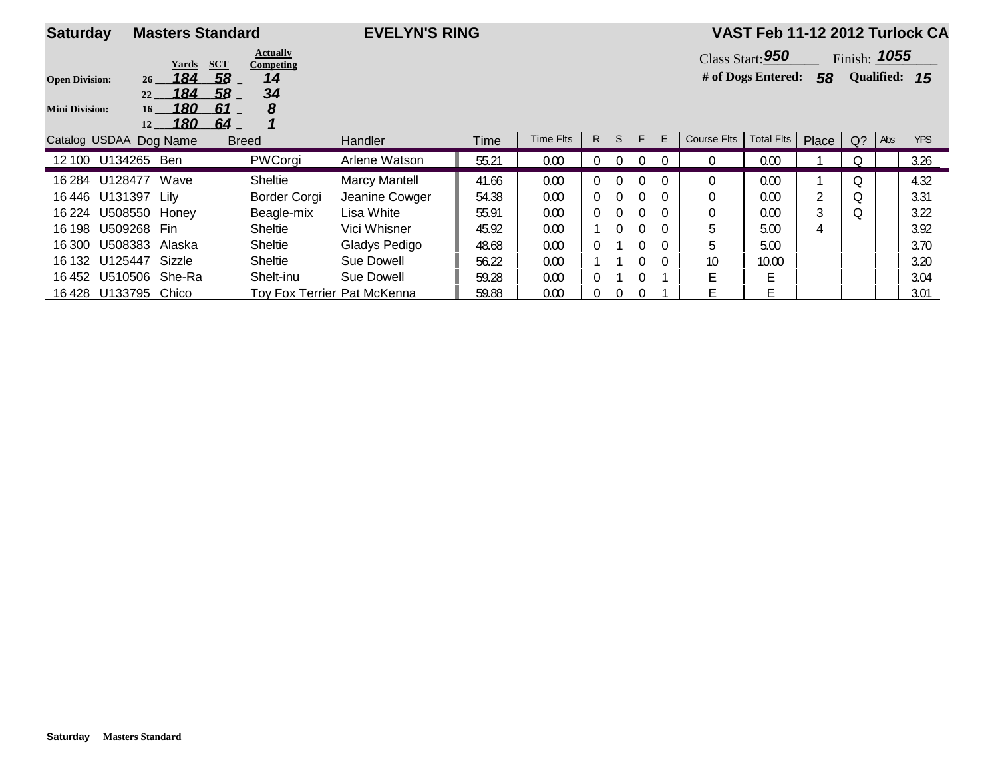| <b>Saturday</b>        | <b>Masters Standard</b>             |                                            | <b>EVELYN'S RING</b>        |       |           |          |                |          |              |             | VAST Feb 11-12 2012 Turlock CA |    |              |               |
|------------------------|-------------------------------------|--------------------------------------------|-----------------------------|-------|-----------|----------|----------------|----------|--------------|-------------|--------------------------------|----|--------------|---------------|
|                        | Yards                               | <b>Actually</b><br><b>SCT</b><br>Competing |                             |       |           |          |                |          |              |             | Class Start: 950               |    | Finish: 1055 |               |
| <b>Open Division:</b>  | 184<br>26                           | 58<br>14                                   |                             |       |           |          |                |          |              |             | # of Dogs Entered:             | 58 |              | Qualified: 15 |
| <b>Mini Division:</b>  | 184<br>22<br>180<br>16<br>180<br>12 | 58<br>34<br>61<br>8<br>64                  |                             |       |           |          |                |          |              |             |                                |    |              |               |
| Catalog USDAA Dog Name |                                     | <b>Breed</b>                               | Handler                     | Time  | Time Flts |          | R S F          |          | E            | Course Flts | Total Fits Place Q? Abs        |    |              | <b>YPS</b>    |
| 12 100 U134265 Ben     |                                     | PWCorgi                                    | Arlene Watson               | 55.21 | 0.00      | $\Omega$ | $\overline{0}$ | $\Omega$ |              | $\Omega$    | 0.00                           |    | Q            | 3.26          |
| 16 284 U128477         | Wave                                | <b>Sheltie</b>                             | <b>Marcy Mantell</b>        | 41.66 | 0.00      | 0        | $\Omega$       | $\Omega$ |              | $\Omega$    | 0.00                           |    | Q            | 4.32          |
| 16446 U131397          | - Lilv                              | <b>Border Corgi</b>                        | Jeanine Cowger              | 54.38 | 0.00      | 0.       |                | $\Omega$ | <sup>n</sup> | 0           | 0.00                           | 2  | Q            | 3.31          |
| 16 2 24                | U508550 Honey                       | Beagle-mix                                 | Lisa White                  | 55.91 | 0.00      | $\Omega$ |                |          |              | 0           | 0.00                           | 3  | 0            | 3.22          |
| U509268<br>16 198      | - Fin                               | <b>Sheltie</b>                             | Vici Whisner                | 45.92 | 0.00      |          | $\Omega$       | $\Omega$ | $\Omega$     | 5           | 5.00                           |    |              | 3.92          |
| 16 300                 | U508383 Alaska                      | <b>Sheltie</b>                             | Gladys Pedigo               | 48.68 | 0.00      | 0        |                | $\Omega$ | 0            | 5           | 5.00                           |    |              | 3.70          |
| U125447<br>16 132      | Sizzle                              | Sheltie                                    | Sue Dowell                  | 56.22 | 0.00      |          |                |          | $\Omega$     | 10          | 10.00                          |    |              | 3.20          |
| U510506<br>16 452      | She-Ra                              | Shelt-inu                                  | Sue Dowell                  | 59.28 | 0.00      | 0        |                | $\Omega$ |              | F           | Ε                              |    |              | 3.04          |
| 16428 U133795          | Chico                               |                                            | Toy Fox Terrier Pat McKenna | 59.88 | 0.00      | 0        | $\Omega$       | $\Omega$ |              | Е           | E                              |    |              | 3.01          |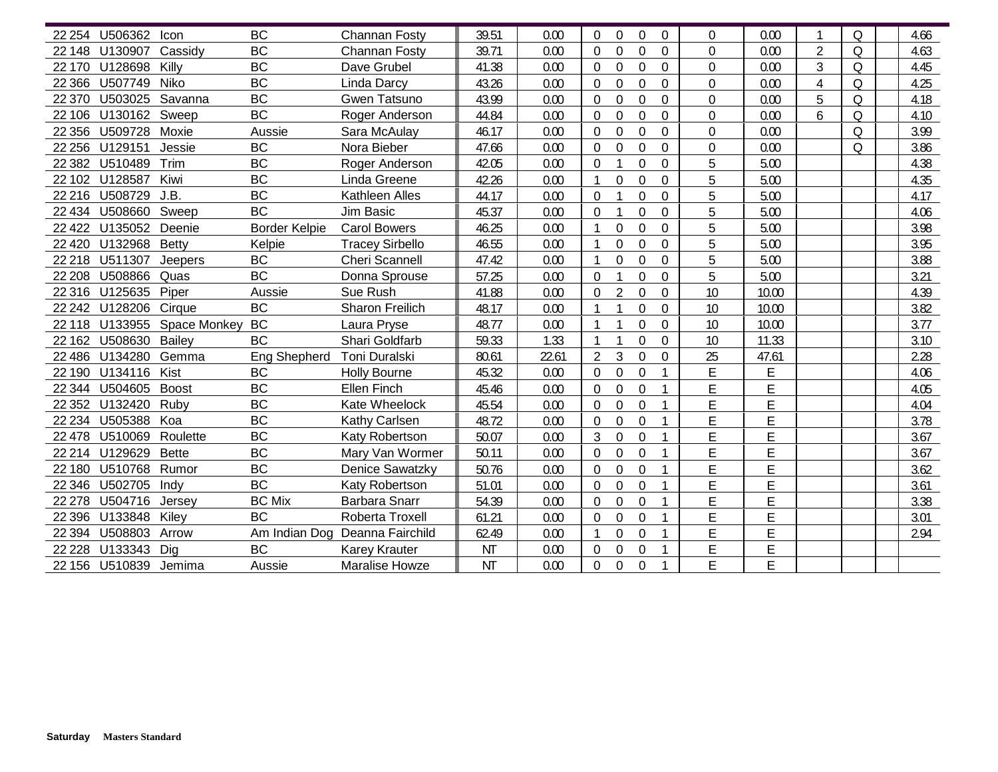|         | 22 254 U506362        | Icon                           | <b>BC</b>            | Channan Fosty                  | 39.51     | 0.00  | $\Omega$<br>$\mathbf{0}$<br>$\Omega$<br>$\Omega$            | $\Omega$       | 0.00  |                | Q        | 4.66 |
|---------|-----------------------|--------------------------------|----------------------|--------------------------------|-----------|-------|-------------------------------------------------------------|----------------|-------|----------------|----------|------|
|         | 22 148 U130907        | Cassidy                        | <b>BC</b>            | Channan Fosty                  | 39.71     | 0.00  | $\overline{0}$<br>0<br>$\theta$<br>$\mathbf 0$              | 0              | 0.00  | $\overline{2}$ | Q        | 4.63 |
|         | 22 170 U128698        | Killy                          | <b>BC</b>            | Dave Grubel                    | 41.38     | 0.00  | $\theta$<br>$\boldsymbol{0}$<br>$\mathbf 0$<br>$\theta$     | 0              | 0.00  | 3              | Q        | 4.45 |
| 22 3 66 | U507749               | Niko                           | <b>BC</b>            | Linda Darcy                    | 43.26     | 0.00  | $\theta$<br>$\boldsymbol{0}$<br>$\mathbf 0$<br>$\Omega$     | $\Omega$       | 0.00  | 4              | 0        | 4.25 |
| 22 370  | U503025               | Savanna                        | <b>BC</b>            | Gwen Tatsuno                   | 43.99     | 0.00  | $\overline{0}$<br>$\theta$<br>$\theta$<br>$\Omega$          | $\overline{0}$ | 0.00  | 5              | Q        | 4.18 |
|         | 22 106 U130162 Sweep  |                                | <b>BC</b>            | Roger Anderson                 | 44.84     | 0.00  | $\boldsymbol{0}$<br>$\mathbf 0$<br>$\theta$<br>0            | 0              | 0.00  | 6              | Q        | 4.10 |
|         | 22 356 U509728        | Moxie                          | Aussie               | Sara McAulay                   | 46.17     | 0.00  | $\boldsymbol{0}$<br>$\mathbf 0$<br>$\theta$<br>$\Omega$     | 0              | 0.00  |                | Q        | 3.99 |
|         | 22 256 U129151        | Jessie                         | <b>BC</b>            | Nora Bieber                    | 47.66     | 0.00  | $\overline{0}$<br>$\overline{0}$<br>$\theta$<br>$\mathbf 0$ | $\Omega$       | 0.00  |                | $\Omega$ | 3.86 |
|         | 22 382 U510489        | Trim                           | <b>BC</b>            | Roger Anderson                 | 42.05     | 0.00  | $\mathbf 0$<br>$\Omega$<br>$\Omega$                         | 5              | 5.00  |                |          | 4.38 |
|         | 22 102 U128587        | Kiwi                           | <b>BC</b>            | Linda Greene                   | 42.26     | 0.00  | $\theta$<br>$\Omega$<br>-1<br>$\Omega$                      | 5              | 5.00  |                |          | 4.35 |
| 22 216  | U508729               | J.B.                           | <b>BC</b>            | Kathleen Alles                 | 44.17     | 0.00  | $\mathbf 0$<br>$\overline{0}$<br>$\boldsymbol{0}$           | 5              | 5.00  |                |          | 4.17 |
|         | 22 434 U508660        | Sweep                          | <b>BC</b>            | Jim Basic                      | 45.37     | 0.00  | $\mathbf 0$<br>$\Omega$<br>$\theta$                         | 5              | 5.00  |                |          | 4.06 |
|         | 22 422 U135052 Deenie |                                | <b>Border Kelpie</b> | <b>Carol Bowers</b>            | 46.25     | 0.00  | $\mathbf 0$<br>-1<br>$\Omega$<br>$\Omega$                   | 5              | 5.00  |                |          | 3.98 |
|         | 22 420 U132968        | Betty                          | Kelpie               | <b>Tracey Sirbello</b>         | 46.55     | 0.00  | $\theta$<br>$\Omega$<br>$\Omega$<br>$\mathbf{1}$            | 5              | 5.00  |                |          | 3.95 |
|         | 22 218 U511307        | Jeepers                        | <b>BC</b>            | <b>Cheri Scannell</b>          | 47.42     | 0.00  | $\mathbf 0$<br>$\mathbf{1}$<br>$\mathbf 0$<br>$\Omega$      | 5              | 5.00  |                |          | 3.88 |
| 22 208  | U508866               | Quas                           | <b>BC</b>            | Donna Sprouse                  | 57.25     | 0.00  | $\boldsymbol{0}$<br>$\boldsymbol{0}$<br>$\theta$            | 5              | 5.00  |                |          | 3.21 |
|         | 22 316 U125635        | Piper                          | Aussie               | Sue Rush                       | 41.88     | 0.00  | $\overline{2}$<br>$\mathbf 0$<br>$\overline{0}$<br>$\theta$ | 10             | 10.00 |                |          | 4.39 |
|         | 22 242 U128206        | Cirque                         | <b>BC</b>            | Sharon Freilich                | 48.17     | 0.00  | $\Omega$<br>$\Omega$<br>$\mathbf 1$                         | 10             | 10.00 |                |          | 3.82 |
|         |                       | 22 118 U133955 Space Monkey BC |                      | Laura Pryse                    | 48.77     | 0.00  | $\Omega$<br>$\Omega$<br>-1                                  | 10             | 10.00 |                |          | 3.77 |
|         | 22 162 U508630        | Bailey                         | <b>BC</b>            | Shari Goldfarb                 | 59.33     | 1.33  | $\mathbf 0$<br>$\theta$<br>-1                               | 10             | 11.33 |                |          | 3.10 |
|         | 22 486 U134280        | Gemma                          | Eng Shepherd         | Toni Duralski                  | 80.61     | 22.61 | 3<br>$\boldsymbol{0}$<br>2<br>$\Omega$                      | 25             | 47.61 |                |          | 2.28 |
| 22 190  | U134116               | Kist                           | <b>BC</b>            | <b>Holly Bourne</b>            | 45.32     | 0.00  | $\theta$<br>$\theta$<br>$\mathbf 0$                         | E              | E     |                |          | 4.06 |
|         | 22 344 U504605        | <b>Boost</b>                   | <b>BC</b>            | <b>Ellen Finch</b>             | 45.46     | 0.00  | $\theta$<br>$\Omega$<br>$\Omega$                            | E              | E     |                |          | 4.05 |
|         | 22 352 U132420        | Ruby                           | <b>BC</b>            | Kate Wheelock                  | 45.54     | 0.00  | $\theta$<br>$\Omega$<br>$\Omega$                            | E              | E     |                |          | 4.04 |
| 22 2 34 | U505388               | Koa                            | <b>BC</b>            | Kathy Carlsen                  | 48.72     | 0.00  | 0<br>$\theta$<br>$\Omega$                                   | E              | E     |                |          | 3.78 |
| 22 4 78 | U510069               | Roulette                       | <b>BC</b>            | Katy Robertson                 | 50.07     | 0.00  | $\overline{0}$<br>3<br>$\mathbf 0$                          | E              | E     |                |          | 3.67 |
|         | 22 214 U129629        | <b>Bette</b>                   | <b>BC</b>            | Mary Van Wormer                | 50.11     | 0.00  | $\boldsymbol{0}$<br>$\mathbf 0$<br>$\Omega$                 | E              | E     |                |          | 3.67 |
| 22 180  | U510768               | Rumor                          | <b>BC</b>            | <b>Denice Sawatzky</b>         | 50.76     | 0.00  | 0<br>$\theta$<br>$\Omega$                                   | E              | E     |                |          | 3.62 |
|         | 22 346 U502705        | Indv                           | <b>BC</b>            | Katy Robertson                 | 51.01     | 0.00  | 0<br>$\boldsymbol{0}$<br>$\mathbf 0$                        | E              | E     |                |          | 3.61 |
| 22 278  | U504716               | Jersey                         | <b>BC Mix</b>        | Barbara Snarr                  | 54.39     | 0.00  | $\theta$<br>$\Omega$<br>$\Omega$                            | E              | E     |                |          | 3.38 |
|         | 22 396 U133848        | Kiley                          | <b>BC</b>            | Roberta Troxell                | 61.21     | 0.00  | $\overline{0}$<br>$\theta$<br>$\Omega$                      | E              | E     |                |          | 3.01 |
| 22 3 94 | U508803               | Arrow                          |                      | Am Indian Dog Deanna Fairchild | 62.49     | 0.00  | 0<br>$\Omega$<br>$\mathbf{1}$                               | F              | F     |                |          | 2.94 |
| 22 2 28 | U133343               | Dig                            | <b>BC</b>            | <b>Karey Krauter</b>           | <b>NT</b> | 0.00  | $\mathbf 0$<br>0<br>$\overline{0}$                          | E              | E     |                |          |      |
|         | 22 156 U510839        | Jemima                         | Aussie               | Maralise Howze                 | <b>NT</b> | 0.00  | 0<br>$\theta$<br>$\mathbf 0$                                | E              | E     |                |          |      |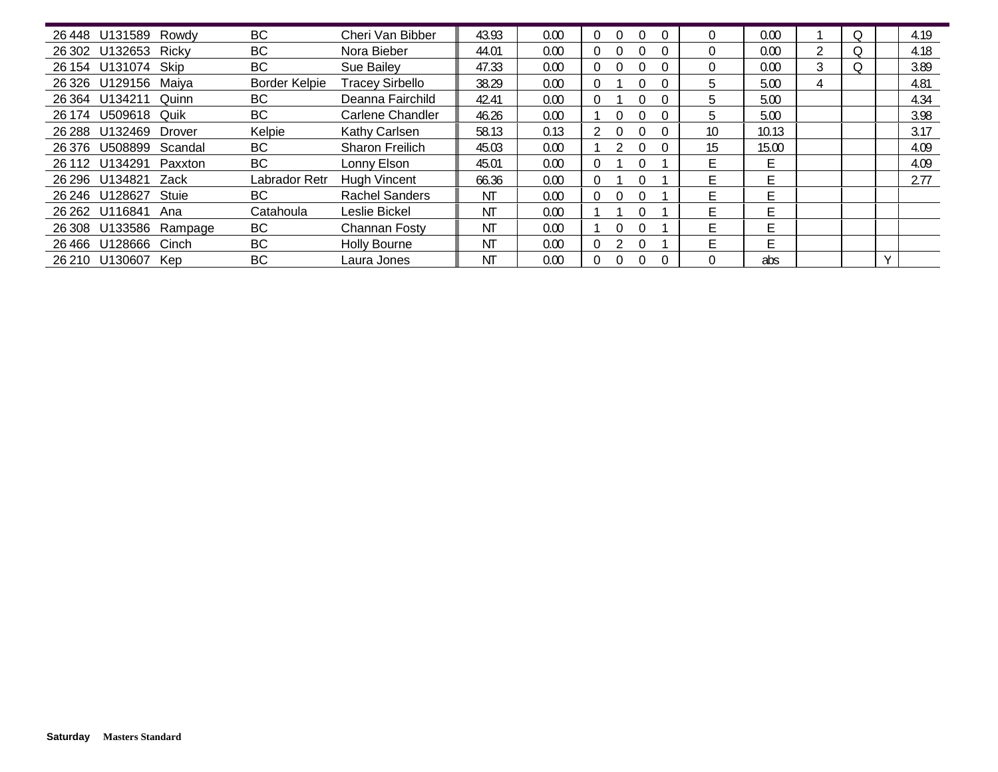| U131589<br>26 448 | Rowdv           | <b>BC</b>            | Cheri Van Bibber       | 43.93     | 0.00 |                           |    | 0.00  |   |  | 4.19 |
|-------------------|-----------------|----------------------|------------------------|-----------|------|---------------------------|----|-------|---|--|------|
| 26 302 U132653    | Rickv           | <b>BC</b>            | Nora Bieber            | 44.01     | 0.00 |                           |    | 0.00  |   |  | 4.18 |
| 26 154<br>U131074 | Skip            | <b>BC</b>            | Sue Bailey             | 47.33     | 0.00 |                           |    | 0.00  | 3 |  | 3.89 |
| 26 326 U129156    | Maiva           | <b>Border Kelpie</b> | <b>Tracey Sirbello</b> | 38.29     | 0.00 |                           | 5. | 5.00  |   |  | 4.81 |
| 26 364 U134211    | Quinn           | <b>BC</b>            | Deanna Fairchild       | 42.41     | 0.00 |                           | 5. | 5.00  |   |  | 4.34 |
| 26 174 U509618    | Quik            | <b>BC</b>            | Carlene Chandler       | 46.26     | 0.00 |                           | 5. | 5.00  |   |  | 3.98 |
| 26 288 U132469    | Drover          | Kelpie               | Kathy Carlsen          | 58.13     | 0.13 | $\Omega$<br>$\Omega$<br>0 | 10 | 10.13 |   |  | 3.17 |
| U508899<br>26 376 | Scandal         | <b>BC</b>            | <b>Sharon Freilich</b> | 45.03     | 0.00 |                           | 15 | 15.00 |   |  | 4.09 |
| U134291<br>26 112 | Paxxton         | <b>BC</b>            | Lonny Elson            | 45.01     | 0.00 |                           |    | E.    |   |  | 4.09 |
| 26 296 U134821    | Zack            | Labrador Retr        | <b>Hugh Vincent</b>    | 66.36     | 0.00 |                           |    | E.    |   |  | 2.77 |
| 26 246 U128627    | Stuie           | <b>BC</b>            | <b>Rachel Sanders</b>  | ΝT        | 0.00 |                           |    | E.    |   |  |      |
| 26 262 U116841    | Ana             | Catahoula            | Leslie Bickel          | ΝT        | 0.00 |                           | н. | E.    |   |  |      |
| 26 308            | U133586 Rampage | BC                   | <b>Channan Fosty</b>   | <b>NT</b> | 0.00 | $\Omega$                  |    | E.    |   |  |      |
| 26466 U128666     | Cinch           | BC                   | <b>Holly Bourne</b>    | ΝT        | 0.00 |                           |    | F     |   |  |      |
| 26 210 U130607    | <b>Kep</b>      | <b>BC</b>            | Laura Jones            | ΝT        | 0.00 |                           |    | abs   |   |  |      |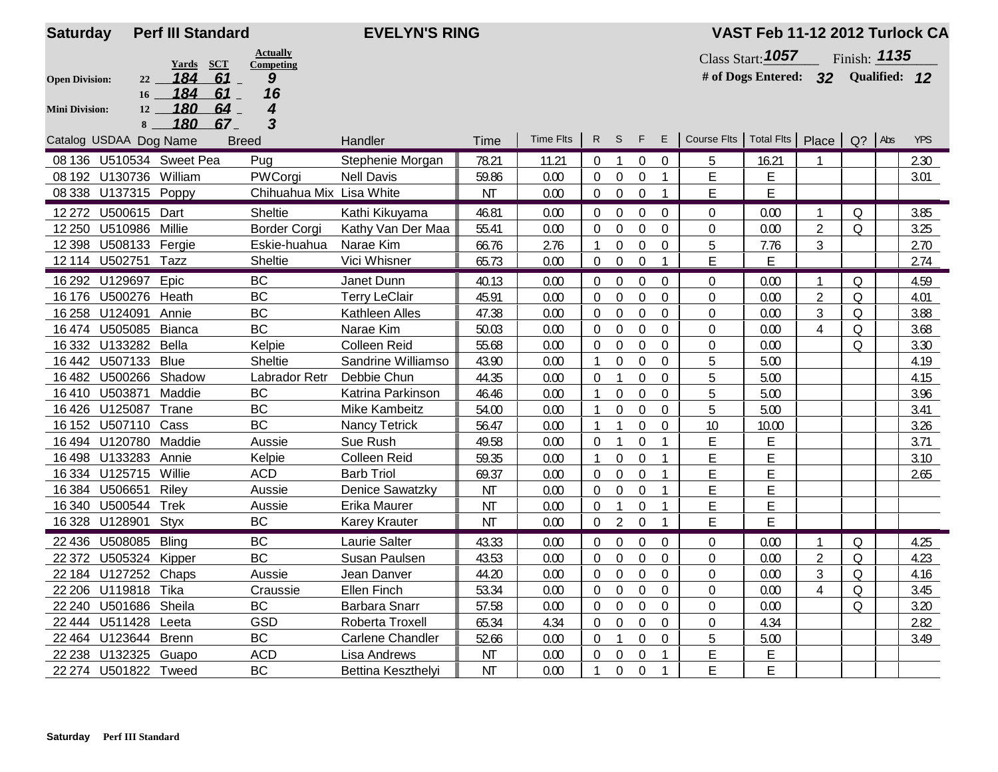| <b>Saturday</b>        |              | <b>Perf III Standard</b> |                                          | <b>EVELYN'S RING</b>    |           |                  |                  |                  |                  |                  |                                  | VAST Feb 11-12 2012 Turlock CA               |                |                |               |            |
|------------------------|--------------|--------------------------|------------------------------------------|-------------------------|-----------|------------------|------------------|------------------|------------------|------------------|----------------------------------|----------------------------------------------|----------------|----------------|---------------|------------|
| <b>Open Division:</b>  | 22           | Yards SCT<br>184<br>61   | <b>Actually</b><br><b>Competing</b><br>9 |                         |           |                  |                  |                  |                  |                  |                                  | Class Start: 1057<br># of Dogs Entered: $32$ |                | Finish: $1135$ | Qualified: 12 |            |
| <b>Mini Division:</b>  | 16<br>12     | 184<br>61<br>180<br>64   | 16<br>4                                  |                         |           |                  |                  |                  |                  |                  |                                  |                                              |                |                |               |            |
|                        | 8            | 180<br>67                | 3                                        |                         |           |                  |                  |                  |                  |                  |                                  |                                              |                |                |               |            |
| Catalog USDAA Dog Name |              | <b>Breed</b>             |                                          | Handler                 | Time      | <b>Time Flts</b> |                  | $R$ S            | $-F$             | E                | Course Flts   Total Flts   Place |                                              |                | $Q$ ? Abs      |               | <b>YPS</b> |
|                        |              | 08 136 U510534 Sweet Pea | Pug                                      | Stephenie Morgan        | 78.21     | 11.21            | $\Omega$         |                  | $\Omega$         | $\mathbf 0$      | 5                                | 16.21                                        |                |                |               | 2.30       |
| 08 192 U130736 William |              |                          | PWCorgi                                  | <b>Nell Davis</b>       | 59.86     | 0.00             | 0                | $\overline{0}$   | $\mathbf 0$      | $\mathbf{1}$     | E                                | E                                            |                |                |               | 3.01       |
| 08 338 U137315 Poppy   |              |                          | Chihuahua Mix Lisa White                 |                         | NT        | 0.00             | $\boldsymbol{0}$ | $\overline{0}$   | $\boldsymbol{0}$ | 1                | E                                | E                                            |                |                |               |            |
| 12 27 2                | U500615      | Dart                     | Sheltie                                  | Kathi Kikuyama          | 46.81     | 0.00             | $\mathbf 0$      | $\mathbf 0$      | $\boldsymbol{0}$ | $\mathbf 0$      | 0                                | 0.00                                         |                | Q              |               | 3.85       |
| 12 250 U510986 Millie  |              |                          | <b>Border Corgi</b>                      | Kathy Van Der Maa       | 55.41     | 0.00             | $\theta$         | $\Omega$         | $\overline{0}$   | $\overline{0}$   | $\overline{0}$                   | 0.00                                         | $\overline{2}$ | $\circ$        |               | 3.25       |
| 12 398 U508133 Fergie  |              |                          | Eskie-huahua                             | Narae Kim               | 66.76     | 2.76             | $\mathbf{1}$     | $\mathbf{0}$     | $\overline{0}$   | $\mathbf 0$      | 5                                | 7.76                                         | 3              |                |               | 2.70       |
| 12 114 U502751 Tazz    |              |                          | Sheltie                                  | Vici Whisner            | 65.73     | 0.00             | $\boldsymbol{0}$ | $\mathbf 0$      | $\mathbf 0$      | 1                | E                                | E                                            |                |                |               | 2.74       |
| 16 292 U129697 Epic    |              |                          | <b>BC</b>                                | Janet Dunn              | 40.13     | 0.00             | $\mathbf 0$      | $\mathbf 0$      | $\overline{0}$   | 0                | 0                                | 0.00                                         |                | 0              |               | 4.59       |
| 16 176 U500276 Heath   |              |                          | BC                                       | <b>Terry LeClair</b>    | 45.91     | 0.00             | 0                | $\overline{0}$   | $\mathbf 0$      | 0                | $\boldsymbol{0}$                 | 0.00                                         | $\overline{2}$ | Q              |               | 4.01       |
| 16 258 U124091         |              | Annie                    | BC                                       | Kathleen Alles          | 47.38     | 0.00             | $\Omega$         | $\mathbf{0}$     | $\overline{0}$   | 0                | 0                                | 0.00                                         | $\overline{3}$ | Q              |               | 3.88       |
| 16 474 U505085 Bianca  |              |                          | <b>BC</b>                                | Narae Kim               | 50.03     | 0.00             | 0                | $\mathbf 0$      | $\mathbf 0$      | $\mathbf 0$      | 0                                | 0.00                                         | 4              | $\Omega$       |               | 3.68       |
| 16 332 U133282         |              | Bella                    | Kelpie                                   | <b>Colleen Reid</b>     | 55.68     | 0.00             | 0                | $\mathbf 0$      | $\mathbf 0$      | $\mathbf 0$      | $\mathbf 0$                      | 0.00                                         |                | Q              |               | 3.30       |
| 16 442 U507133         |              | <b>Blue</b>              | Sheltie                                  | Sandrine Williamso      | 43.90     | 0.00             | $\mathbf{1}$     | $\mathbf 0$      | $\boldsymbol{0}$ | 0                | 5                                | 5.00                                         |                |                |               | 4.19       |
| 16 482 U500266 Shadow  |              |                          | Labrador Retr                            | Debbie Chun             | 44.35     | 0.00             | $\theta$         | 1                | $\mathbf 0$      | $\mathbf 0$      | 5                                | 5.00                                         |                |                |               | 4.15       |
| 16410 U503871          |              | Maddie                   | BC                                       | Katrina Parkinson       | 46.46     | 0.00             | $\mathbf{1}$     | $\mathbf 0$      | $\mathbf 0$      | $\mathbf 0$      | 5                                | 5.00                                         |                |                |               | 3.96       |
| 16 426 U125087         |              | Trane                    | <b>BC</b>                                | Mike Kambeitz           | 54.00     | 0.00             | $\mathbf{1}$     | 0                | $\mathbf 0$      | $\mathbf 0$      | 5                                | 5.00                                         |                |                |               | 3.41       |
| 16 152 U507110         |              | Cass                     | <b>BC</b>                                | <b>Nancy Tetrick</b>    | 56.47     | 0.00             | 1                | $\mathbf 1$      | $\mathbf 0$      | $\mathbf 0$      | 10                               | 10.00                                        |                |                |               | 3.26       |
| 16 494 U120780 Maddie  |              |                          | Aussie                                   | Sue Rush                | 49.58     | 0.00             | $\theta$         | $\mathbf{1}$     | $\Omega$         | $\mathbf{1}$     | E                                | E                                            |                |                |               | 3.71       |
| 16 498 U133283 Annie   |              |                          | Kelpie                                   | Colleen Reid            | 59.35     | 0.00             | $\mathbf{1}$     | $\mathbf{0}$     | $\mathbf 0$      | $\mathbf{1}$     | E                                | E                                            |                |                |               | 3.10       |
| 16 334 U125715 Willie  |              |                          | <b>ACD</b>                               | <b>Barb Triol</b>       | 69.37     | 0.00             | 0                | $\mathbf 0$      | $\mathbf 0$      | $\mathbf{1}$     | E                                | E                                            |                |                |               | 2.65       |
| 16384                  | U506651      | Riley                    | Aussie                                   | Denice Sawatzky         | <b>NT</b> | 0.00             | 0                | $\mathbf 0$      | $\mathbf 0$      | $\mathbf{1}$     | E                                | E                                            |                |                |               |            |
| 16 340 U500544         |              | <b>Trek</b>              | Aussie                                   | Erika Maurer            | <b>NT</b> | 0.00             | $\Omega$         | $\mathbf{1}$     | $\Omega$         | $\mathbf{1}$     | E                                | E                                            |                |                |               |            |
| 16 328 U128901         |              | <b>Styx</b>              | <b>BC</b>                                | <b>Karey Krauter</b>    | <b>NT</b> | 0.00             | $\mathbf 0$      | $\overline{2}$   | $\overline{0}$   | $\mathbf{1}$     | E                                | E                                            |                |                |               |            |
| 22 4 36                | U508085      | <b>Bling</b>             | BC                                       | Laurie Salter           | 43.33     | 0.00             | 0                | $\mathbf{0}$     | $\overline{0}$   | $\mathbf 0$      | 0                                | 0.00                                         |                | Q              |               | 4.25       |
| 22 372 U505324 Kipper  |              |                          | <b>BC</b>                                | Susan Paulsen           | 43.53     | 0.00             | 0                | $\overline{0}$   | $\mathbf 0$      | $\mathbf 0$      | 0                                | 0.00                                         | $\overline{2}$ | Q              |               | 4.23       |
| 22 184 U127252 Chaps   |              |                          | Aussie                                   | Jean Danver             | 44.20     | 0.00             | $\mathbf 0$      | $\mathbf 0$      | $\mathbf 0$      | $\mathbf 0$      | $\mathbf 0$                      | 0.00                                         | 3              | $\Omega$       |               | 4.16       |
| 22 206                 | U119818 Tika |                          | Craussie                                 | Ellen Finch             | 53.34     | 0.00             | $\theta$         | $\overline{0}$   | $\mathbf 0$      | $\overline{0}$   | $\overline{0}$                   | 0.00                                         | $\overline{4}$ | $\Omega$       |               | 3.45       |
| 22 240 U501686 Sheila  |              |                          | BC                                       | Barbara Snarr           | 57.58     | 0.00             | 0                | $\boldsymbol{0}$ | $\boldsymbol{0}$ | $\boldsymbol{0}$ | 0                                | 0.00                                         |                | Q              |               | 3.20       |
| 22 444 U511428         |              | Leeta                    | <b>GSD</b>                               | Roberta Troxell         | 65.34     | 4.34             | $\theta$         | $\mathbf 0$      | $\boldsymbol{0}$ | $\mathbf 0$      | $\boldsymbol{0}$                 | 4.34                                         |                |                |               | 2.82       |
| 22 464 U123644         |              | <b>Brenn</b>             | BC                                       | <b>Carlene Chandler</b> | 52.66     | 0.00             | $\Omega$         | $\mathbf{1}$     | $\mathbf 0$      | $\mathbf 0$      | 5                                | 5.00                                         |                |                |               | 3.49       |
| 22 238 U132325 Guapo   |              |                          | <b>ACD</b>                               | <b>Lisa Andrews</b>     | <b>NT</b> | 0.00             | $\Omega$         | $\theta$         | $\overline{0}$   | 1                | E                                | Ε                                            |                |                |               |            |
| 22 274 U501822 Tweed   |              |                          | <b>BC</b>                                | Bettina Keszthelyi      | <b>NT</b> | 0.00             | 1                | $\boldsymbol{0}$ | $\mathbf 0$      | $\mathbf{1}$     | E                                | E                                            |                |                |               |            |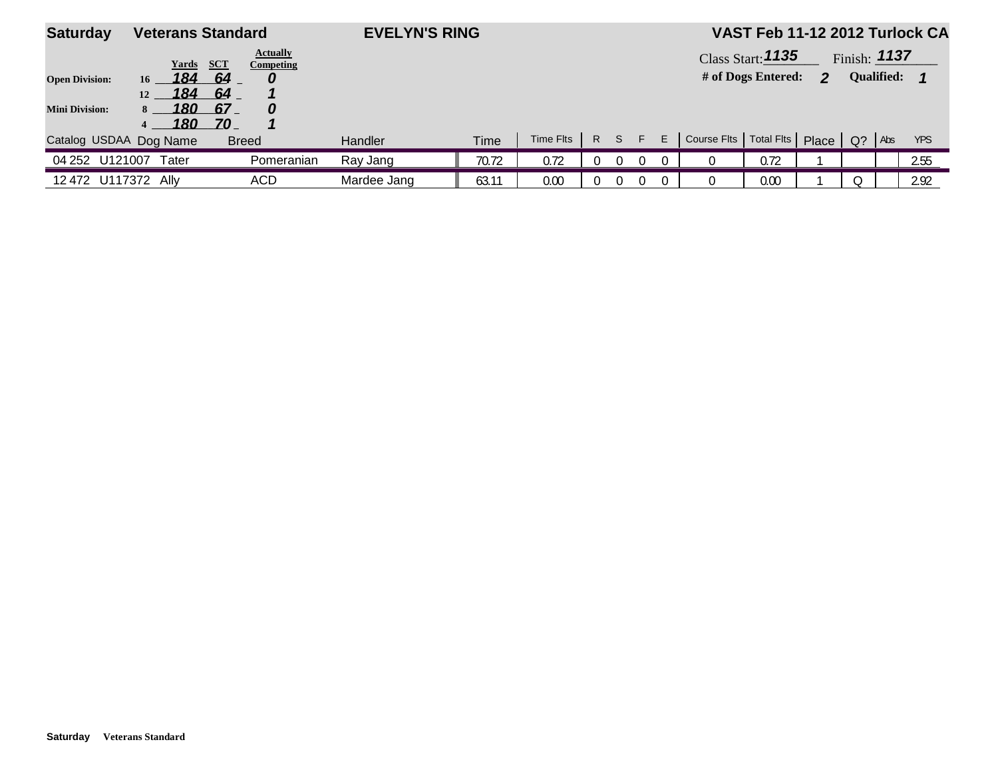| <b>Saturday</b>        | <b>Veterans Standard</b> |                                                         | <b>EVELYN'S RING</b> |                |           |   |    |          |   |                                             | VAST Feb 11-12 2012 Turlock CA |   |                |                   |            |
|------------------------|--------------------------|---------------------------------------------------------|----------------------|----------------|-----------|---|----|----------|---|---------------------------------------------|--------------------------------|---|----------------|-------------------|------------|
|                        | Yards                    | <b>Actually</b><br>$\overline{\text{SCT}}$<br>Competing |                      |                |           |   |    |          |   |                                             | <b>Class Start: 1135</b>       |   | Finish: $1137$ |                   |            |
| <b>Open Division:</b>  | 184<br>16                | 64                                                      |                      |                |           |   |    |          |   |                                             | # of Dogs Entered:             | 2 |                | <b>Qualified:</b> |            |
|                        | 184<br>12                | 64                                                      |                      |                |           |   |    |          |   |                                             |                                |   |                |                   |            |
| <b>Mini Division:</b>  | 180<br>8                 | 67<br>0                                                 |                      |                |           |   |    |          |   |                                             |                                |   |                |                   |            |
|                        | 180                      | 70                                                      |                      |                |           |   |    |          |   |                                             |                                |   |                |                   |            |
| Catalog USDAA Dog Name |                          | <b>Breed</b>                                            | <b>Handler</b>       | <b>Time</b>    | Time Flts | R | S. | −F.      | E | Course Flts   Total Flts   Place   Q?   Abs |                                |   |                |                   | <b>YPS</b> |
| 04 252 U121007         | Tater                    | Pomeranian                                              | Ray Jang             | 70.72          | 0.72      |   | 0  | $\Omega$ |   |                                             | 0.72                           |   |                |                   | 2.55       |
| 12472 U117372          | Allv                     | <b>ACD</b>                                              | Mardee Jang          | $63.1^{\circ}$ | 0.00      |   |    | 0        |   |                                             | 0.00                           |   |                |                   | 2.92       |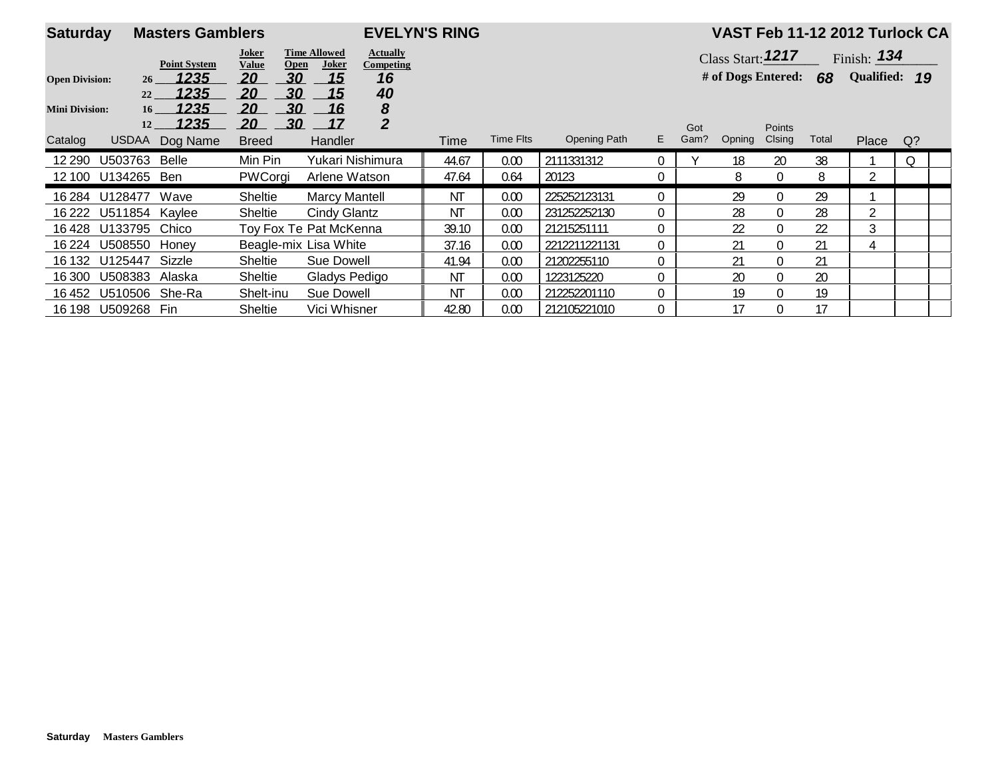| <b>Saturday</b>                                |                             | <b>Masters Gamblers</b>     |                                           | <b>EVELYN'S RING</b>                                                |           |                  |               |             |             |                                              |                  |       |                                | VAST Feb 11-12 2012 Turlock CA |
|------------------------------------------------|-----------------------------|-----------------------------|-------------------------------------------|---------------------------------------------------------------------|-----------|------------------|---------------|-------------|-------------|----------------------------------------------|------------------|-------|--------------------------------|--------------------------------|
|                                                |                             | <b>Point System</b><br>1235 | Joker<br><b>Value</b><br>Open<br>20<br>30 | <b>Time Allowed</b><br><b>Actually</b><br><b>Joker</b><br>Competing |           |                  |               |             |             | Class Start: 1217<br># of Dogs Entered: $68$ |                  |       | Finish: $134$<br>Qualified: 19 |                                |
| <b>Open Division:</b><br><b>Mini Division:</b> | 26 <sup>2</sup><br>22<br>16 | 1235<br>1235                | 30<br>20<br>30<br>20                      | 16<br>15<br>40<br>15<br>8<br>16                                     |           |                  |               |             |             |                                              |                  |       |                                |                                |
| Catalog                                        | USDAA                       | 1235<br>12<br>Dog Name      | 30<br>20<br><b>Breed</b>                  | $\overline{2}$<br>$-17$<br>Handler                                  | Time      | <b>Time Flts</b> | Opening Path  | E.          | Got<br>Gam? | Opning                                       | Points<br>Clsing | Total | Place                          | Q?                             |
| 12 2 9 0                                       | U503763                     | Belle                       | Min Pin                                   | Yukari Nishimura                                                    | 44.67     | 0.00             | 2111331312    | $\mathbf 0$ |             | 18                                           | 20               | 38    |                                | Q                              |
|                                                | 12 100 U134265 Ben          |                             | PWCorgi                                   | Arlene Watson                                                       | 47.64     | 0.64             | 20123         | 0           |             | 8                                            | $\overline{0}$   | 8     | 2                              |                                |
|                                                | 16 284 U128477              | Wave                        | Sheltie                                   | <b>Marcy Mantell</b>                                                | <b>NT</b> | 0.00             | 225252123131  | $\theta$    |             | 29                                           | $\overline{0}$   | 29    |                                |                                |
|                                                | 16 222 U511854 Kaylee       |                             | <b>Sheltie</b>                            | <b>Cindy Glantz</b>                                                 | <b>NT</b> | 0.00             | 231252252130  | $\mathbf 0$ |             | 28                                           | $\theta$         | 28    | $\mathfrak{D}$                 |                                |
|                                                | 16428 U133795               | Chico                       |                                           | Toy Fox Te Pat McKenna                                              | 39.10     | 0.00             | 21215251111   | $\Omega$    |             | 22                                           | $\Omega$         | 22    | 3                              |                                |
| 16 224                                         | U508550 Honey               |                             |                                           | Beagle-mix Lisa White                                               | 37.16     | 0.00             | 2212211221131 | $\theta$    |             | 21                                           | $\Omega$         | 21    | 4                              |                                |
| 16 132                                         | U125447                     | Sizzle                      | Sheltie                                   | Sue Dowell                                                          | 41.94     | 0.00             | 21202255110   | $\theta$    |             | 21                                           | $\overline{0}$   | 21    |                                |                                |
| 16 300                                         | U508383                     | Alaska                      | Sheltie                                   | Gladys Pedigo                                                       | <b>NT</b> | 0.00             | 1223125220    | $\theta$    |             | 20                                           | $\overline{0}$   | 20    |                                |                                |
| 16 452                                         | U510506                     | She-Ra                      | Shelt-inu                                 | Sue Dowell                                                          | <b>NT</b> | 0.00             | 212252201110  | $\Omega$    |             | 19                                           | $\overline{0}$   | 19    |                                |                                |
| 16 198                                         | U509268                     | Fin                         | <b>Sheltie</b>                            | Vici Whisner                                                        | 42.80     | 0.00             | 212105221010  | $\Omega$    |             | 17                                           | $\Omega$         | 17    |                                |                                |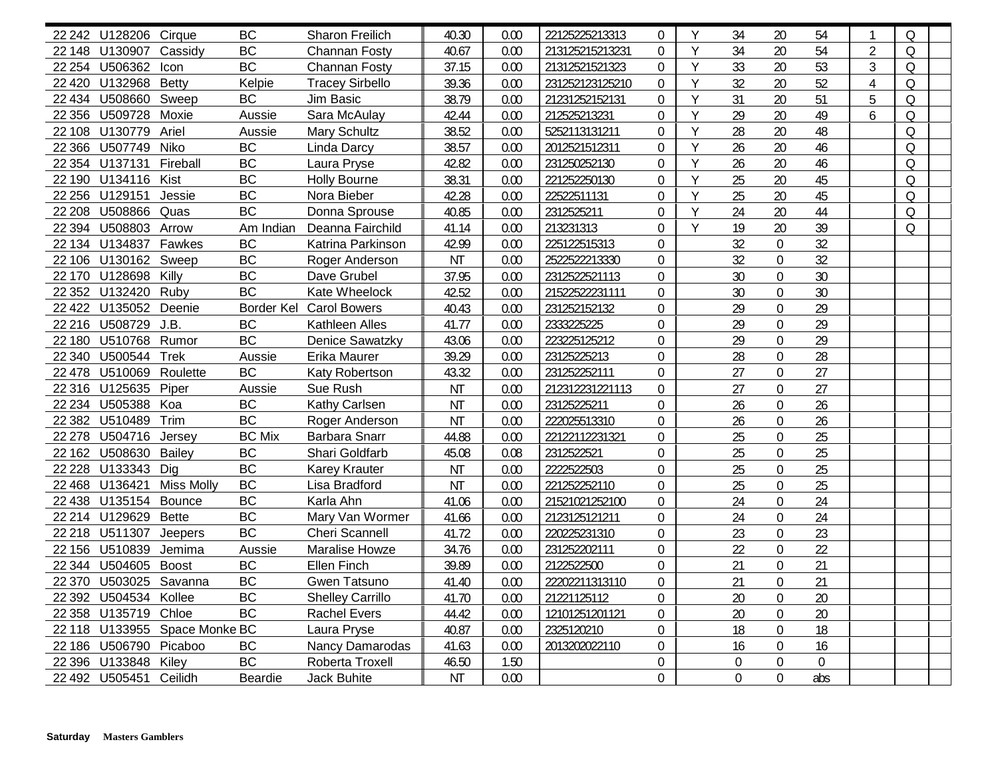| 22 242 U128206 Cirque   |                               | BC            | Sharon Freilich         | 40.30     | 0.00 | 22125225213313  | $\mathbf{0}$     | Y | 34 | 20               | 54              | $\mathbf 1$    | Q                                                                                                          |  |
|-------------------------|-------------------------------|---------------|-------------------------|-----------|------|-----------------|------------------|---|----|------------------|-----------------|----------------|------------------------------------------------------------------------------------------------------------|--|
| 22 148 U130907          | Cassidy                       | $\sf BC$      | Channan Fosty           | 40.67     | 0.00 | 213125215213231 | $\mathbf 0$      | Y | 34 | 20               | 54              | $\overline{2}$ | $\mathsf O$                                                                                                |  |
| 22 254 U506362          | Icon                          | BC            | Channan Fosty           | 37.15     | 0.00 | 21312521521323  | $\boldsymbol{0}$ | Y | 33 | 20               | 53              | $\overline{3}$ | Q                                                                                                          |  |
| 22 420 U132968 Betty    |                               | Kelpie        | <b>Tracey Sirbello</b>  | 39.36     | 0.00 | 231252123125210 | $\boldsymbol{0}$ | Y | 32 | 20               | 52              | 4              | Q                                                                                                          |  |
| 22 434 U508660 Sweep    |                               | BC            | Jim Basic               | 38.79     | 0.00 | 21231252152131  | $\mathbf 0$      | Y | 31 | 20               | 51              | 5              | $\mathsf{Q}% _{T}=\mathsf{Q}_{T}\!\left( a,b\right) ,\ \mathsf{Q}_{T}=\mathsf{Q}_{T}\!\left( a,b\right) ,$ |  |
| 22 356 U509728          | Moxie                         | Aussie        | Sara McAulay            | 42.44     | 0.00 | 212525213231    | $\overline{0}$   | Y | 29 | 20               | 49              | 6              | Q                                                                                                          |  |
| 22 108 U130779          | Ariel                         | Aussie        | Mary Schultz            | 38.52     | 0.00 | 5252113131211   | $\mathbf 0$      | Y | 28 | 20               | 48              |                | Q                                                                                                          |  |
| 22 366 U507749          | Niko                          | BC            | Linda Darcy             | 38.57     | 0.00 | 2012521512311   | $\boldsymbol{0}$ | Y | 26 | 20               | 46              |                | Q                                                                                                          |  |
| 22 354 U137131          | Fireball                      | BC            | Laura Pryse             | 42.82     | 0.00 | 231250252130    | $\mathbf 0$      | Y | 26 | 20               | 46              |                | Q                                                                                                          |  |
| 22 190 U134116          | Kist                          | $\sf BC$      | <b>Holly Bourne</b>     | 38.31     | 0.00 | 221252250130    | $\overline{0}$   | Y | 25 | 20               | 45              |                | Q                                                                                                          |  |
| 22 256 U129151          | Jessie                        | $\sf BC$      | Nora Bieber             | 42.28     | 0.00 | 22522511131     | $\boldsymbol{0}$ | Υ | 25 | 20               | 45              |                | Q                                                                                                          |  |
| 22 208 U508866 Quas     |                               | <b>BC</b>     | Donna Sprouse           | 40.85     | 0.00 | 2312525211      | $\boldsymbol{0}$ | Y | 24 | 20               | 44              |                | Q                                                                                                          |  |
| 22 394 U508803 Arrow    |                               | Am Indian     | Deanna Fairchild        | 41.14     | 0.00 | 213231313       | $\mathbf 0$      | Y | 19 | 20               | 39              |                | Q                                                                                                          |  |
| 22 134 U134837 Fawkes   |                               | BC            | Katrina Parkinson       | 42.99     | 0.00 | 225122515313    | $\boldsymbol{0}$ |   | 32 | $\boldsymbol{0}$ | 32              |                |                                                                                                            |  |
| 22 106 U130162 Sweep    |                               | BC            | Roger Anderson          | <b>NT</b> | 0.00 | 2522522213330   | $\mathbf 0$      |   | 32 | $\mathbf 0$      | 32              |                |                                                                                                            |  |
| 22 170 U128698 Killy    |                               | $\sf BC$      | Dave Grubel             | 37.95     | 0.00 | 2312522521113   | $\boldsymbol{0}$ |   | 30 | $\mathbf 0$      | 30 <sup>°</sup> |                |                                                                                                            |  |
| 22 352 U132420 Ruby     |                               | BC            | Kate Wheelock           | 42.52     | 0.00 | 21522522231111  | $\mathbf 0$      |   | 30 | $\mathbf 0$      | 30              |                |                                                                                                            |  |
| 22 422 U135052 Deenie   |                               |               | Border Kel Carol Bowers | 40.43     | 0.00 | 231252152132    | $\boldsymbol{0}$ |   | 29 | $\boldsymbol{0}$ | 29              |                |                                                                                                            |  |
| 22 216 U508729 J.B.     |                               | $\sf BC$      | Kathleen Alles          | 41.77     | 0.00 | 2333225225      | $\mathbf 0$      |   | 29 | $\mathbf 0$      | 29              |                |                                                                                                            |  |
| 22 180 U510768 Rumor    |                               | BC            | <b>Denice Sawatzky</b>  | 43.06     | 0.00 | 223225125212    | $\boldsymbol{0}$ |   | 29 | $\boldsymbol{0}$ | 29              |                |                                                                                                            |  |
| 22 340 U500544          | <b>Trek</b>                   | Aussie        | Erika Maurer            | 39.29     | 0.00 | 23125225213     | $\boldsymbol{0}$ |   | 28 | $\boldsymbol{0}$ | 28              |                |                                                                                                            |  |
| 22 478 U510069 Roulette |                               | $\sf BC$      | Katy Robertson          | 43.32     | 0.00 | 231252252111    | 0                |   | 27 | $\boldsymbol{0}$ | 27              |                |                                                                                                            |  |
| 22 316 U125635          | Piper                         | Aussie        | Sue Rush                | <b>NT</b> | 0.00 | 212312231221113 | $\boldsymbol{0}$ |   | 27 | $\mathbf 0$      | 27              |                |                                                                                                            |  |
| 22 234 U505388 Koa      |                               | BC            | Kathy Carlsen           | NT        | 0.00 | 23125225211     | $\boldsymbol{0}$ |   | 26 | $\boldsymbol{0}$ | 26              |                |                                                                                                            |  |
| 22 382 U510489          | Trim                          | BC            | Roger Anderson          | <b>NT</b> | 0.00 | 222025513310    | 0                |   | 26 | $\mathbf 0$      | 26              |                |                                                                                                            |  |
| 22 278 U504716          | Jersey                        | <b>BC Mix</b> | Barbara Snarr           | 44.88     | 0.00 | 22122112231321  | $\boldsymbol{0}$ |   | 25 | $\boldsymbol{0}$ | 25              |                |                                                                                                            |  |
| 22 162 U508630          | <b>Bailey</b>                 | $\sf BC$      | Shari Goldfarb          | 45.08     | 0.08 | 2312522521      | $\mathbf 0$      |   | 25 | $\mathbf 0$      | 25              |                |                                                                                                            |  |
| 22 228 U133343 Dig      |                               | BC            | <b>Karey Krauter</b>    | <b>NT</b> | 0.00 | 2222522503      | $\boldsymbol{0}$ |   | 25 | $\boldsymbol{0}$ | 25              |                |                                                                                                            |  |
| 22 468 U136421          | Miss Molly                    | $\sf BC$      | Lisa Bradford           | <b>NT</b> | 0.00 | 221252252110    | $\boldsymbol{0}$ |   | 25 | $\boldsymbol{0}$ | 25              |                |                                                                                                            |  |
| 22 438 U135154 Bounce   |                               | $\sf BC$      | Karla Ahn               | 41.06     | 0.00 | 21521021252100  | $\overline{0}$   |   | 24 | $\boldsymbol{0}$ | 24              |                |                                                                                                            |  |
| 22 214 U129629          | <b>Bette</b>                  | $\sf BC$      | Mary Van Wormer         | 41.66     | 0.00 | 2123125121211   | $\overline{0}$   |   | 24 | $\mathbf 0$      | 24              |                |                                                                                                            |  |
| 22 218 U511307 Jeepers  |                               | BC            | <b>Cheri Scannell</b>   | 41.72     | 0.00 | 220225231310    | $\boldsymbol{0}$ |   | 23 | $\mathbf 0$      | 23              |                |                                                                                                            |  |
| 22 156 U510839          | Jemima                        | Aussie        | Maralise Howze          | 34.76     | 0.00 | 231252202111    | $\boldsymbol{0}$ |   | 22 | $\mathbf 0$      | 22              |                |                                                                                                            |  |
| 22 344 U504605 Boost    |                               | BC            | Ellen Finch             | 39.89     | 0.00 | 2122522500      | 0                |   | 21 | $\boldsymbol{0}$ | 21              |                |                                                                                                            |  |
| 22 370 U503025 Savanna  |                               | BC            | Gwen Tatsuno            | 41.40     | 0.00 | 22202211313110  | 0                |   | 21 | $\mathbf 0$      | 21              |                |                                                                                                            |  |
| 22 392 U504534 Kollee   |                               | BC            | <b>Shelley Carrillo</b> | 41.70     | 0.00 | 21221125112     | 0                |   | 20 | 0                | 20              |                |                                                                                                            |  |
| 22 358 U135719 Chloe    |                               | BC            | <b>Rachel Evers</b>     | 44.42     | 0.00 | 12101251201121  | 0                |   | 20 | $\overline{0}$   | $20\,$          |                |                                                                                                            |  |
|                         | 22 118 U133955 Space Monke BC |               | Laura Pryse             | 40.87     | 0.00 | 2325120210      | 0                |   | 18 | $\boldsymbol{0}$ | 18              |                |                                                                                                            |  |
| 22 186 U506790 Picaboo  |                               | BC            | Nancy Damarodas         | 41.63     | 0.00 | 2013202022110   | 0                |   | 16 | $\overline{0}$   | 16              |                |                                                                                                            |  |
| 22 396 U133848 Kiley    |                               | BC            | Roberta Troxell         | 46.50     | 1.50 |                 | 0                |   | 0  | $\boldsymbol{0}$ | $\overline{0}$  |                |                                                                                                            |  |
| 22 492 U505451 Ceilidh  |                               | Beardie       | Jack Buhite             | ΝT        | 0.00 |                 | $\mathbf 0$      |   | 0  | $\mathbf 0$      | abs             |                |                                                                                                            |  |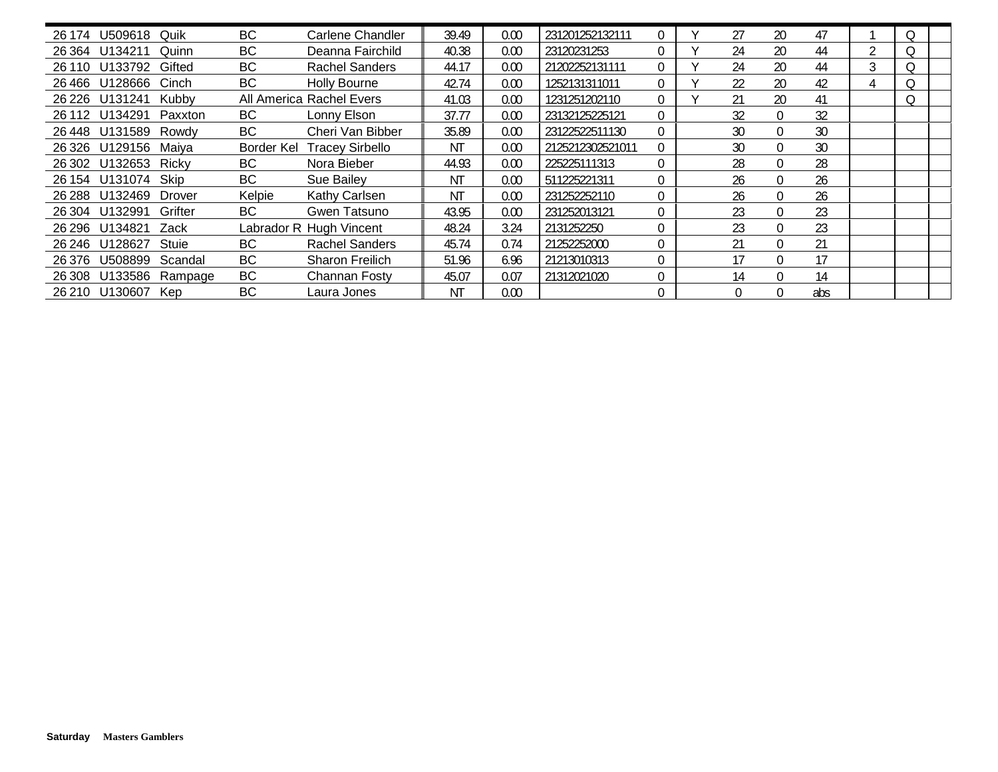| 26 174 U509618         | Quik                   | <b>BC</b>  | <b>Carlene Chandler</b>  | 39.49     | 0.00 | 231201252132111  | 0           | 27 | 20             | 47  |   | Q |  |
|------------------------|------------------------|------------|--------------------------|-----------|------|------------------|-------------|----|----------------|-----|---|---|--|
| 26 364 U134211         | Quinn                  | <b>BC</b>  | Deanna Fairchild         | 40.38     | 0.00 | 23120231253      | $\mathbf 0$ | 24 | 20             | 44  | 2 | Q |  |
| 26 110 U133792         | Gifted                 | <b>BC</b>  | <b>Rachel Sanders</b>    | 44.17     | 0.00 | 21202252131111   | 0           | 24 | 20             | 44  | 3 | Q |  |
| 26 466 U128666         | Cinch                  | <b>BC</b>  | <b>Holly Bourne</b>      | 42.74     | 0.00 | 1252131311011    | $\Omega$    | 22 | 20             | 42  | 4 | Q |  |
| 26 226 U131241         | Kubby                  |            | All America Rachel Evers | 41.03     | 0.00 | 1231251202110    | 0           | 21 | 20             | 41  |   | Q |  |
| 26 112 U134291         | Paxxton                | BC         | Lonny Elson              | 37.77     | 0.00 | 23132125225121   | $\Omega$    | 32 | $\overline{0}$ | 32  |   |   |  |
| 26 448 U131589 Rowdy   |                        | BC.        | Cheri Van Bibber         | 35.89     | 0.00 | 23122522511130   | 0           | 30 | 0              | 30  |   |   |  |
| 26 326 U129156 Maiya   |                        | Border Kel | <b>Tracey Sirbello</b>   | ΝT        | 0.00 | 2125212302521011 | 0           | 30 | $\overline{0}$ | 30  |   |   |  |
| 26 302 U132653 Ricky   |                        | BC         | Nora Bieber              | 44.93     | 0.00 | 225225111313     | $\Omega$    | 28 | $\overline{0}$ | 28  |   |   |  |
| 26 154 U131074         | Skip                   | BC         | Sue Bailey               | ΝT        | 0.00 | 511225221311     | $\Omega$    | 26 | $\Omega$       | 26  |   |   |  |
| 26 288 U132469         | Drover                 | Kelpie     | Kathy Carlsen            | <b>NT</b> | 0.00 | 231252252110     | $\Omega$    | 26 | $\Omega$       | 26  |   |   |  |
| 26 304 U132991         | Grifter                | BC         | Gwen Tatsuno             | 43.95     | 0.00 | 231252013121     | $\Omega$    | 23 | 0              | 23  |   |   |  |
| 26 296 U134821         | Zack                   |            | Labrador R Hugh Vincent  | 48.24     | 3.24 | 2131252250       |             | 23 | $\overline{0}$ | 23  |   |   |  |
| 26 246 U128627         | Stuie                  | BC         | <b>Rachel Sanders</b>    | 45.74     | 0.74 | 21252252000      | 0           | 21 | $\overline{0}$ | 21  |   |   |  |
| 26 376 U508899 Scandal |                        | BC         | <b>Sharon Freilich</b>   | 51.96     | 6.96 | 21213010313      | $\Omega$    | 17 | $\overline{0}$ | 17  |   |   |  |
|                        | 26 308 U133586 Rampage | BC         | Channan Fosty            | 45.07     | 0.07 | 21312021020      | 0           | 14 | $\Omega$       | 14  |   |   |  |
| 26 210 U130607         | Kep                    | <b>BC</b>  | Laura Jones              | ΝT        | 0.00 |                  | $\Omega$    | 0  | $\theta$       | abs |   |   |  |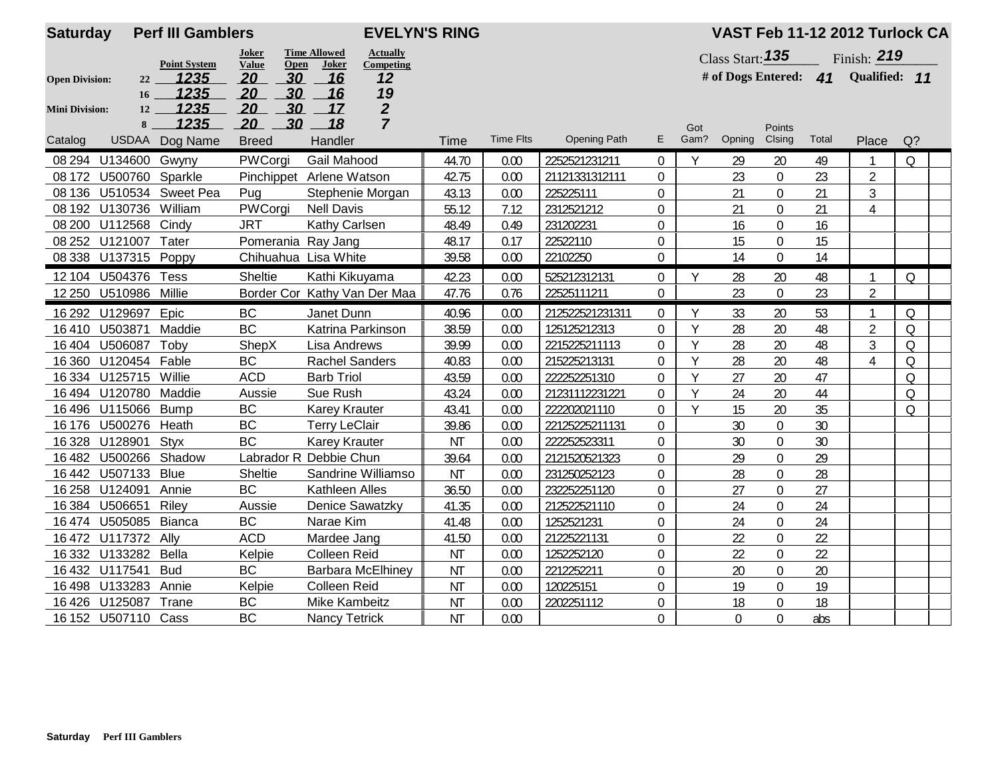| <b>Saturday</b>       |                        | <b>Perf III Gamblers</b> |                        | <b>EVELYN'S RING</b>                                         |                |                  |                         |                                      |             |                    |                               |          | VAST Feb 11-12 2012 Turlock CA      |              |  |
|-----------------------|------------------------|--------------------------|------------------------|--------------------------------------------------------------|----------------|------------------|-------------------------|--------------------------------------|-------------|--------------------|-------------------------------|----------|-------------------------------------|--------------|--|
|                       |                        | <b>Point System</b>      | Joker<br>Value<br>Open | <b>Time Allowed</b><br><b>Actually</b><br>Joker<br>Competing |                |                  |                         |                                      |             | Class Start: $135$ |                               |          | Finish: $219$                       |              |  |
| <b>Open Division:</b> | 22                     | 1235                     | 20<br>30               | 16<br>12                                                     |                |                  |                         |                                      |             |                    |                               |          | # of Dogs Entered: 41 Qualified: 11 |              |  |
|                       | 16 <sup>1</sup>        | 1235                     | 30<br>20               | 16<br>19                                                     |                |                  |                         |                                      |             |                    |                               |          |                                     |              |  |
| <b>Mini Division:</b> | 12                     | 1235                     | 30<br>20               | $\overline{2}$<br>17                                         |                |                  |                         |                                      |             |                    |                               |          |                                     |              |  |
| Catalog               | 8<br><b>USDAA</b>      | 1235<br>Dog Name         | 30<br>20               | 18<br>$\overline{7}$<br>Handler                              |                | <b>Time Flts</b> | <b>Opening Path</b>     | E                                    | Got<br>Gam? | Opning             | Points<br>Clsing              | Total    | Place                               | $Q$ ?        |  |
|                       |                        |                          | <b>Breed</b>           |                                                              | Time           |                  |                         |                                      |             |                    |                               |          |                                     |              |  |
| 08 294                | U134600                | Gwyny                    | PWCorgi                | Gail Mahood                                                  | 44.70          | 0.00             | 2252521231211           | $\mathbf 0$                          | Y           | 29                 | 20                            | 49       |                                     | Q            |  |
| 08 136                | 08 172 U500760 Sparkle | U510534 Sweet Pea        |                        | Pinchippet Arlene Watson                                     | 42.75          | 0.00             | 21121331312111          | 0                                    |             | 23                 | $\overline{0}$                | 23       | 2                                   |              |  |
| 08 192                | U130736                | William                  | Pug<br>PWCorgi         | Stephenie Morgan<br><b>Nell Davis</b>                        | 43.13<br>55.12 | 0.00<br>7.12     | 225225111               | $\mathbf 0$                          |             | 21<br>21           | $\mathbf 0$<br>$\overline{0}$ | 21       | 3                                   |              |  |
| 08 200                | U112568 Cindy          |                          | <b>JRT</b>             | Kathy Carlsen                                                | 48.49          | 0.49             | 2312521212<br>231202231 | $\boldsymbol{0}$<br>$\boldsymbol{0}$ |             | 16                 | $\mathbf 0$                   | 21<br>16 | 4                                   |              |  |
|                       | 08 252 U121007 Tater   |                          | Pomerania Ray Jang     |                                                              | 48.17          | 0.17             | 22522110                | $\mathbf 0$                          |             | 15                 | $\mathbf 0$                   | 15       |                                     |              |  |
|                       | 08 338 U137315 Poppy   |                          | Chihuahua Lisa White   |                                                              | 39.58          | 0.00             | 22102250                | 0                                    |             | 14                 | $\overline{0}$                | 14       |                                     |              |  |
|                       |                        |                          |                        |                                                              |                |                  |                         |                                      |             |                    |                               |          |                                     |              |  |
|                       | 12 104 U504376         | <b>Tess</b>              | Sheltie                | Kathi Kikuyama                                               | 42.23          | 0.00             | 525212312131            | $\overline{0}$                       | Y           | 28                 | 20                            | 48       |                                     | Q            |  |
|                       | 12 250 U510986 Millie  |                          |                        | Border Cor Kathy Van Der Maa                                 | 47.76          | 0.76             | 22525111211             | $\mathbf 0$                          |             | 23                 | $\overline{0}$                | 23       | $\overline{2}$                      |              |  |
|                       | 16 292 U129697         | Epic                     | BC                     | Janet Dunn                                                   | 40.96          | 0.00             | 212522521231311         | $\boldsymbol{0}$                     | Y           | 33                 | 20                            | 53       |                                     | Q            |  |
| 16410                 | U503871                | Maddie                   | <b>BC</b>              | Katrina Parkinson                                            | 38.59          | 0.00             | 125125212313            | 0                                    | Y           | 28                 | 20                            | 48       | $\overline{2}$                      | Q            |  |
| 16404                 | U506087                | Toby                     | ShepX                  | Lisa Andrews                                                 | 39.99          | 0.00             | 2215225211113           | 0                                    | Y           | 28                 | 20                            | 48       | 3                                   | Q            |  |
| 16 360                | U120454                | Fable                    | BC                     | <b>Rachel Sanders</b>                                        | 40.83          | 0.00             | 215225213131            | $\mathbf 0$                          | Y           | 28                 | 20                            | 48       | $\Delta$                            | $\mathsf{O}$ |  |
|                       | 16 334 U125715         | Willie                   | <b>ACD</b>             | <b>Barb Triol</b>                                            | 43.59          | 0.00             | 222252251310            | $\boldsymbol{0}$                     | Y           | 27                 | 20                            | 47       |                                     | $\Omega$     |  |
|                       | 16 494 U120780         | Maddie                   | Aussie                 | Sue Rush                                                     | 43.24          | 0.00             | 21231112231221          | $\boldsymbol{0}$                     | Y           | 24                 | 20                            | 44       |                                     | $\Omega$     |  |
| 16496                 | U115066                | <b>Bump</b>              | <b>BC</b>              | <b>Karey Krauter</b>                                         | 43.41          | 0.00             | 222202021110            | $\mathbf 0$                          | Y           | 15                 | 20                            | 35       |                                     | Q            |  |
| 16 176                | U500276                | Heath                    | $\sf BC$               | <b>Terry LeClair</b>                                         | 39.86          | 0.00             | 22125225211131          | $\boldsymbol{0}$                     |             | 30 <sup>°</sup>    | $\boldsymbol{0}$              | 30       |                                     |              |  |
|                       | 16 328 U128901         | <b>Styx</b>              | <b>BC</b>              | <b>Karey Krauter</b>                                         | <b>NT</b>      | 0.00             | 222252523311            | $\mathbf 0$                          |             | 30                 | $\overline{0}$                | 30       |                                     |              |  |
|                       | 16 482 U500266         | Shadow                   |                        | Labrador R Debbie Chun                                       | 39.64          | 0.00             | 2121520521323           | $\boldsymbol{0}$                     |             | 29                 | $\overline{0}$                | 29       |                                     |              |  |
|                       | 16442 U507133          | <b>Blue</b>              | Sheltie                | Sandrine Williamso                                           | <b>NT</b>      | 0.00             | 231250252123            | $\boldsymbol{0}$                     |             | 28                 | $\boldsymbol{0}$              | 28       |                                     |              |  |
| 16 258                | U124091                | Annie                    | BC                     | Kathleen Alles                                               | 36.50          | 0.00             | 232252251120            | $\mathbf 0$                          |             | 27                 | $\overline{0}$                | 27       |                                     |              |  |
| 16 3 84               | U506651                | Riley                    | Aussie                 | <b>Denice Sawatzky</b>                                       | 41.35          | 0.00             | 212522521110            | $\mathbf 0$                          |             | 24                 | $\overline{0}$                | 24       |                                     |              |  |
|                       | 16 474 U505085         | <b>Bianca</b>            | <b>BC</b>              | Narae Kim                                                    | 41.48          | 0.00             | 1252521231              | $\mathbf 0$                          |             | 24                 | $\overline{0}$                | 24       |                                     |              |  |
|                       | 16 472 U117372 Ally    |                          | <b>ACD</b>             | Mardee Jang                                                  | 41.50          | 0.00             | 21225221131             | $\mathbf 0$                          |             | 22                 | $\mathbf 0$                   | 22       |                                     |              |  |
|                       | 16 332 U133282         | Bella                    | Kelpie                 | <b>Colleen Reid</b>                                          | <b>NT</b>      | 0.00             | 1252252120              | $\boldsymbol{0}$                     |             | 22                 | $\boldsymbol{0}$              | 22       |                                     |              |  |
|                       | 16 432 U117541         | <b>Bud</b>               | BC                     | Barbara McElhiney                                            | <b>NT</b>      | 0.00             | 2212252211              | $\overline{0}$                       |             | 20                 | $\overline{0}$                | 20       |                                     |              |  |
|                       | 16 498 U133283 Annie   |                          | Kelpie                 | Colleen Reid                                                 | <b>NT</b>      | 0.00             | 120225151               | $\mathbf 0$                          |             | 19                 | $\overline{0}$                | 19       |                                     |              |  |
|                       | 16 426 U125087         | Trane                    | BC                     | Mike Kambeitz                                                | <b>NT</b>      | 0.00             | 2202251112              | $\boldsymbol{0}$                     |             | 18                 | $\mathbf 0$                   | 18       |                                     |              |  |
|                       | 16 152 U507110 Cass    |                          | BC                     | Nancy Tetrick                                                | <b>NT</b>      | 0.00             |                         | $\overline{0}$                       |             | $\mathbf 0$        | $\mathbf 0$                   | abs      |                                     |              |  |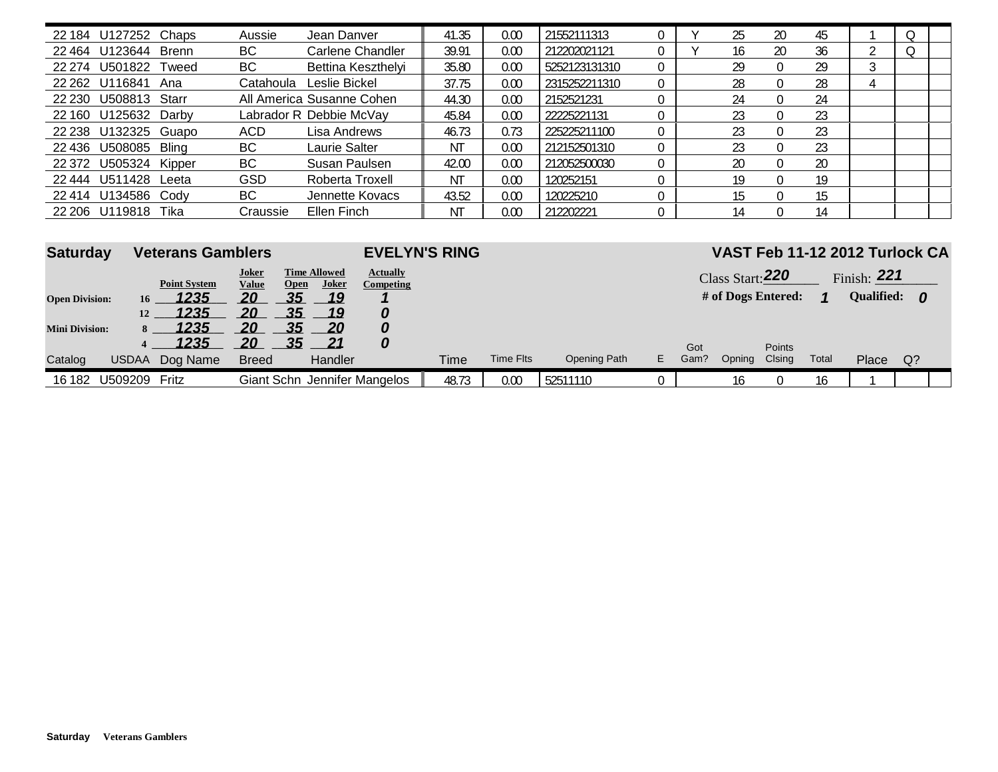| 22 184 U127252 Chaps  |       | Aussie     | Jean Danver               | 41.35     | 0.00 | 21552111313   |  |    | 20 | 45 |          | O |  |
|-----------------------|-------|------------|---------------------------|-----------|------|---------------|--|----|----|----|----------|---|--|
| 22464 U123644         | Brenn | BC         | Carlene Chandler          | 39.91     | 0.00 | 212202021121  |  | 16 | 20 | 36 |          |   |  |
| U501822<br>22 274     | Tweed | BC         | Bettina Keszthelyi        | 35.80     | 0.00 | 5252123131310 |  | 29 |    | 29 | $\Omega$ |   |  |
| U116841<br>22 262     | Ana   | Catahoula  | Leslie Bickel             | 37.75     | 0.00 | 2315252211310 |  | 28 |    | 28 |          |   |  |
| 22 230 U508813 Starr  |       |            | All America Susanne Cohen | 44.30     | 0.00 | 2152521231    |  | 24 |    | 24 |          |   |  |
| 22 160 U125632 Darby  |       |            | Labrador R Debbie McVay   | 45.84     | 0.00 | 22225221131   |  | 23 |    | 23 |          |   |  |
| 22 238 U132325 Guapo  |       | <b>ACD</b> | Lisa Andrews              | 46.73     | 0.73 | 225225211100  |  | 23 | U  | 23 |          |   |  |
| 22 436 U508085 Bling  |       | BC.        | Laurie Salter             | <b>NT</b> | 0.00 | 212152501310  |  | 23 | 0  | 23 |          |   |  |
| 22 372 U505324 Kipper |       | BC.        | Susan Paulsen             | 42.00     | 0.00 | 212052500030  |  | 20 | 0  | 20 |          |   |  |
| 22 444 U511428        | Leeta | <b>GSD</b> | Roberta Troxell           | <b>NT</b> | 0.00 | 120252151     |  | 19 |    | 19 |          |   |  |
| 22 414 U134586 Cody   |       | BC         | Jennette Kovacs           | 43.52     | 0.00 | 120225210     |  |    |    | 15 |          |   |  |
| 22 206 U119818        | Tika  | Craussie   | Ellen Finch               | <b>NT</b> | 0.00 | 212202221     |  |    |    | 14 |          |   |  |

| <b>Saturday</b>                                |                            | <b>Veterans Gamblers</b><br><b>Time Allowed</b>                                         |                                               |                                                                                     | <b>EVELYN'S RING</b>                          |       |           |              |    |             |                                        |                         |       | VAST Feb 11-12 2012 Turlock CA     |       |  |
|------------------------------------------------|----------------------------|-----------------------------------------------------------------------------------------|-----------------------------------------------|-------------------------------------------------------------------------------------|-----------------------------------------------|-------|-----------|--------------|----|-------------|----------------------------------------|-------------------------|-------|------------------------------------|-------|--|
| <b>Open Division:</b><br><b>Mini Division:</b> | 16 <sup>2</sup><br>12<br>8 | <b>Point System</b><br><u> 1235 </u><br><u> 1235 </u><br><u> 1235 </u><br><u> 1235 </u> | Joker<br><b>Value</b><br>20<br>20<br>20<br>20 | <b>Joker</b><br><b>Open</b><br><u> 19</u><br>35<br>35<br>19<br>35<br>20<br>35<br>21 | <b>Actually</b><br><b>Competing</b><br>0<br>0 |       |           |              |    |             | Class Start: 220<br># of Dogs Entered: |                         |       | Finish: $221$<br><b>Qualified:</b> | 0     |  |
| Catalog                                        | <b>USDAA</b>               | Dog Name                                                                                | <b>Breed</b>                                  | Handler                                                                             |                                               | Time  | Time Flts | Opening Path | E. | Got<br>Gam? | Opning                                 | <b>Points</b><br>Clsing | Total | Place                              | $Q$ ? |  |
| 16 182                                         | U509209                    | Fritz                                                                                   |                                               | Giant Schn Jennifer Mangelos                                                        |                                               | 48.73 | 0.00      | 52511110     |    |             | 16                                     |                         | 16    |                                    |       |  |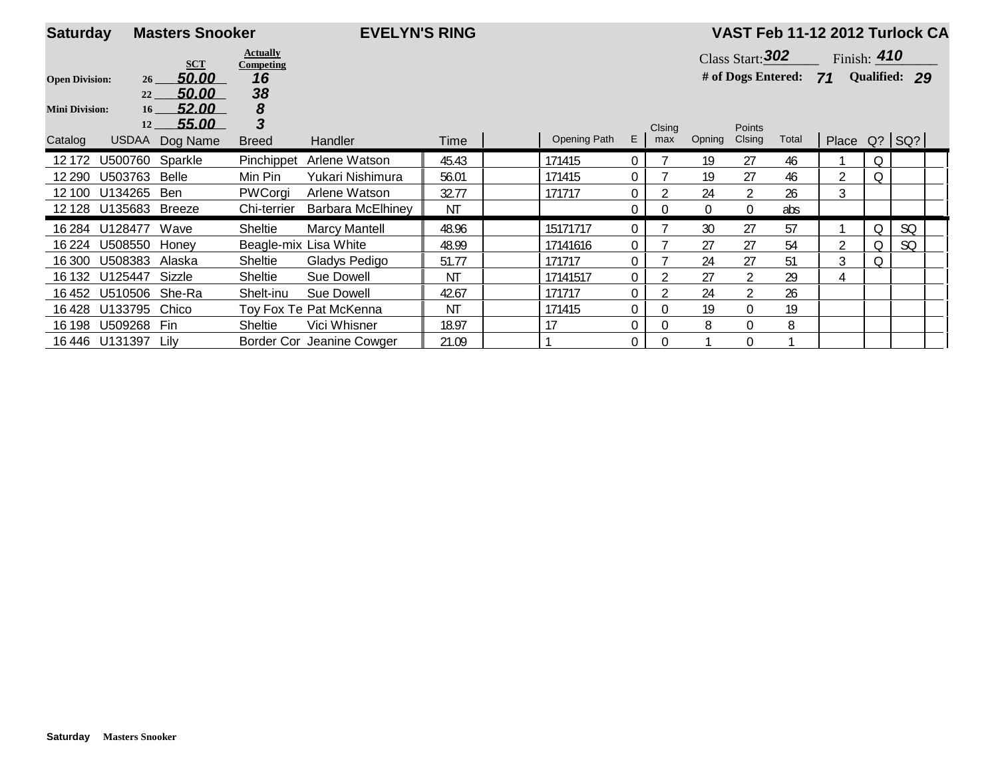| <b>Saturday</b>       |                       | <b>Masters Snooker</b>        |                                    | <b>EVELYN'S RING</b>      |           |              |                |          |                |                                        |       | VAST Feb 11-12 2012 Turlock CA |   |               |  |
|-----------------------|-----------------------|-------------------------------|------------------------------------|---------------------------|-----------|--------------|----------------|----------|----------------|----------------------------------------|-------|--------------------------------|---|---------------|--|
| <b>Open Division:</b> | 26                    | <b>SCT</b><br>50.00           | <b>Actually</b><br>Competing<br>16 |                           |           |              |                |          |                | Class Start: 302<br># of Dogs Entered: |       | Finish: $410$<br>71            |   | Qualified: 29 |  |
| <b>Mini Division:</b> | 22<br>16 <sup>1</sup> | 50.00<br>52.00<br>55.00<br>12 | 38<br>8<br>3                       |                           |           |              |                | Clsing   |                | Points                                 |       |                                |   |               |  |
| Catalog               |                       | USDAA Dog Name                | <b>Breed</b>                       | <b>Handler</b>            | Time      | Opening Path | E.             | max      | Opning         | Clsing                                 | Total | Place $Q$ ? $ SQ$ ?            |   |               |  |
| 12 172                | U500760               | Sparkle                       |                                    | Pinchippet Arlene Watson  | 45.43     | 171415       | $\overline{0}$ |          | 19             | 27                                     | 46    |                                | Q |               |  |
| 12 290                | U503763               | <b>Belle</b>                  | Min Pin                            | Yukari Nishimura          | 56.01     | 171415       | $\overline{0}$ |          | 19             | 27                                     | 46    | 2                              | Q |               |  |
| 12 100                | U134265               | Ben                           | PWCorgi                            | Arlene Watson             | 32.77     | 171717       | 0              |          | 24             | $\overline{2}$                         | 26    | 3                              |   |               |  |
| 12 1 28               | U135683 Breeze        |                               | Chi-terrier                        | <b>Barbara McElhiney</b>  | <b>NT</b> |              | $\overline{0}$ | $\Omega$ | $\overline{0}$ | $\mathbf 0$                            | abs   |                                |   |               |  |
| 16 284                | U128477               | Wave                          | <b>Sheltie</b>                     | <b>Marcy Mantell</b>      | 48.96     | 15171717     | $\overline{0}$ |          | 30             | 27                                     | 57    |                                | Q | SQ            |  |
| 16 2 24               | U508550 Honey         |                               |                                    | Beagle-mix Lisa White     | 48.99     | 17141616     | $\Omega$       |          | 27             | 27                                     | 54    |                                |   | <b>SQ</b>     |  |
| 16 300                | U508383               | Alaska                        | <b>Sheltie</b>                     | Gladys Pedigo             | 51.77     | 171717       | $\Omega$       |          | 24             | 27                                     | 51    | 3                              | Q |               |  |
| 16 132                | U125447               | Sizzle                        | <b>Sheltie</b>                     | <b>Sue Dowell</b>         | ΝT        | 17141517     | 0              |          | 27             | 2                                      | 29    | 4                              |   |               |  |
| 16 452                | U510506               | She-Ra                        | Shelt-inu                          | Sue Dowell                | 42.67     | 171717       | $\Omega$       |          | 24             | $\overline{2}$                         | 26    |                                |   |               |  |
| 16428                 | U133795               | Chico                         |                                    | Toy Fox Te Pat McKenna    | ΝT        | 171415       | $\Omega$       | $\Omega$ | 19             | $\overline{0}$                         | 19    |                                |   |               |  |
| 16 198                | U509268               | Fin                           | <b>Sheltie</b>                     | Vici Whisner              | 18.97     | 17           | 0              | $\theta$ | 8              | 0                                      | 8     |                                |   |               |  |
|                       | 16 446 U131397 Lily   |                               |                                    | Border Cor Jeanine Cowger | 21.09     |              |                | $\theta$ |                | 0                                      |       |                                |   |               |  |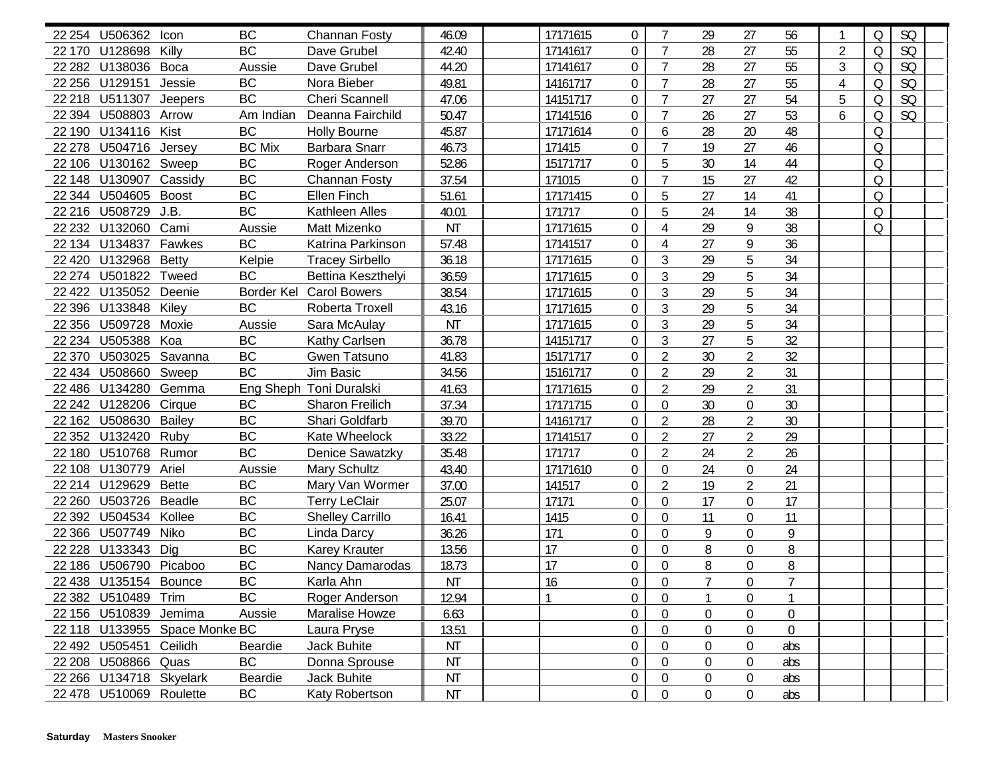| 22 254 U506362          | Icon                          | BC            | Channan Fosty           | 46.09     | 17171615 | $\mathbf 0$      | $\overline{7}$   | 29             | 27               | 56               |                | $\mathsf{O}$ | <b>SQ</b> |  |
|-------------------------|-------------------------------|---------------|-------------------------|-----------|----------|------------------|------------------|----------------|------------------|------------------|----------------|--------------|-----------|--|
| 22 170 U128698          | Killy                         | <b>BC</b>     | Dave Grubel             | 42.40     | 17141617 | $\overline{0}$   | $\overline{7}$   | 28             | 27               | 55               | $\overline{2}$ | $\Omega$     | <b>SQ</b> |  |
| 22 282 U138036 Boca     |                               | Aussie        | Dave Grubel             | 44.20     | 17141617 | $\overline{0}$   | $\overline{7}$   | 28             | 27               | 55               | 3              | $\Omega$     | <b>SQ</b> |  |
| 22 256 U129151          | Jessie                        | <b>BC</b>     | Nora Bieber             | 49.81     | 14161717 | $\overline{0}$   | $\overline{7}$   | 28             | 27               | 55               | 4              | $\Omega$     | <b>SQ</b> |  |
| 22 218 U511307 Jeepers  |                               | <b>BC</b>     | Cheri Scannell          | 47.06     | 14151717 | $\overline{0}$   | $\overline{7}$   | 27             | 27               | 54               |                | $\Omega$     | SQ        |  |
| 22 394 U508803 Arrow    |                               | Am Indian     | Deanna Fairchild        | 50.47     | 17141516 | $\overline{0}$   | $\overline{7}$   | 26             | 27               | 53               | 6              | $\Omega$     | <b>SQ</b> |  |
| 22 190 U134116 Kist     |                               | BC            | <b>Holly Bourne</b>     | 45.87     | 17171614 | $\overline{0}$   | 6                | 28             | 20               | 48               |                | $\Omega$     |           |  |
| 22 278 U504716 Jersey   |                               | <b>BC Mix</b> | Barbara Snarr           | 46.73     | 171415   | $\overline{0}$   | $\overline{7}$   | 19             | 27               | 46               |                | Q            |           |  |
| 22 106 U130162 Sweep    |                               | <b>BC</b>     | Roger Anderson          | 52.86     | 15171717 | $\overline{0}$   | 5                | 30             | 14               | 44               |                | $\Omega$     |           |  |
| 22 148 U130907 Cassidy  |                               | BC            | Channan Fosty           | 37.54     | 171015   | $\boldsymbol{0}$ | $\overline{7}$   | 15             | 27               | 42               |                | $\Omega$     |           |  |
| 22 344 U504605 Boost    |                               | BC            | Ellen Finch             | 51.61     | 17171415 | $\overline{0}$   | 5                | 27             | 14               | 41               |                | $\Omega$     |           |  |
| 22 216 U508729 J.B.     |                               | <b>BC</b>     | Kathleen Alles          | 40.01     | 171717   | $\overline{0}$   | 5                | 24             | 14               | 38               |                | $\mathsf O$  |           |  |
| 22 232 U132060 Cami     |                               | Aussie        | Matt Mizenko            | <b>NT</b> | 17171615 | $\overline{0}$   | $\overline{4}$   | 29             | 9                | 38               |                | $\Omega$     |           |  |
| 22 134 U134837 Fawkes   |                               | <b>BC</b>     | Katrina Parkinson       | 57.48     | 17141517 | $\overline{0}$   | $\overline{4}$   | 27             | 9                | 36               |                |              |           |  |
| 22 420 U132968 Betty    |                               | Kelpie        | <b>Tracey Sirbello</b>  | 36.18     | 17171615 | $\overline{0}$   | 3                | 29             | 5                | 34               |                |              |           |  |
| 22 274 U501822 Tweed    |                               | <b>BC</b>     | Bettina Keszthelyi      | 36.59     | 17171615 | $\overline{0}$   | 3                | 29             | 5                | 34               |                |              |           |  |
| 22 422 U135052 Deenie   |                               |               | Border Kel Carol Bowers | 38.54     | 17171615 | $\overline{0}$   | 3                | 29             | 5                | 34               |                |              |           |  |
| 22 396 U133848 Kiley    |                               | <b>BC</b>     | Roberta Troxell         | 43.16     | 17171615 | $\mathbf 0$      | $\mathfrak{Z}$   | 29             | 5                | 34               |                |              |           |  |
| 22 356 U509728 Moxie    |                               | Aussie        | Sara McAulay            | <b>NT</b> | 17171615 | $\mathbf 0$      | $\mathfrak{Z}$   | 29             | 5                | 34               |                |              |           |  |
| 22 234 U505388 Koa      |                               | BC            | Kathy Carlsen           | 36.78     | 14151717 | $\overline{0}$   | $\mathfrak{Z}$   | 27             | 5                | 32               |                |              |           |  |
| 22 370 U503025 Savanna  |                               | BC            | Gwen Tatsuno            | 41.83     | 15171717 | $\overline{0}$   | $\overline{2}$   | 30             | $\overline{2}$   | 32               |                |              |           |  |
| 22 434 U508660 Sweep    |                               | <b>BC</b>     | Jim Basic               | 34.56     | 15161717 | $\overline{0}$   | $\overline{2}$   | 29             | $\overline{2}$   | 31               |                |              |           |  |
| 22 486 U134280 Gemma    |                               |               | Eng Sheph Toni Duralski | 41.63     | 17171615 | $\overline{0}$   | $\overline{2}$   | 29             | $\overline{2}$   | 31               |                |              |           |  |
| 22 242 U128206 Cirque   |                               | BC            | Sharon Freilich         | 37.34     | 17171715 | $\overline{0}$   | $\Omega$         | 30             | $\mathbf 0$      | 30               |                |              |           |  |
| 22 162 U508630 Bailey   |                               | BC            | Shari Goldfarb          | 39.70     | 14161717 | $\mathbf 0$      | $\overline{2}$   | 28             | $\overline{2}$   | 30               |                |              |           |  |
| 22 352 U132420          | Ruby                          | BC            | Kate Wheelock           | 33.22     | 17141517 | $\mathbf 0$      | $\overline{2}$   | 27             | $\overline{2}$   | 29               |                |              |           |  |
| 22 180 U510768 Rumor    |                               | BC            | <b>Denice Sawatzky</b>  | 35.48     | 171717   | $\boldsymbol{0}$ | $\overline{2}$   | 24             | $\overline{2}$   | 26               |                |              |           |  |
| 22 108 U130779 Ariel    |                               | Aussie        | <b>Mary Schultz</b>     | 43.40     | 17171610 | $\overline{0}$   | $\mathbf 0$      | 24             | $\boldsymbol{0}$ | 24               |                |              |           |  |
| 22 214 U129629 Bette    |                               | BC            | Mary Van Wormer         | 37.00     | 141517   | $\overline{0}$   | $\overline{2}$   | 19             | $\overline{2}$   | 21               |                |              |           |  |
| 22 260 U503726 Beadle   |                               | BC            | <b>Terry LeClair</b>    | 25.07     | 17171    | $\mathbf 0$      | $\Omega$         | 17             | $\mathbf 0$      | 17               |                |              |           |  |
| 22 392 U504534 Kollee   |                               | BC            | <b>Shelley Carrillo</b> | 16.41     | 1415     | $\boldsymbol{0}$ | $\Omega$         | 11             | $\mathbf 0$      | 11               |                |              |           |  |
| 22 366 U507749 Niko     |                               | <b>BC</b>     | Linda Darcy             | 36.26     | 171      | $\mathbf 0$      | $\Omega$         | 9              | $\mathbf 0$      | 9                |                |              |           |  |
| 22 228 U133343 Dig      |                               | BC            | <b>Karey Krauter</b>    | 13.56     | 17       | $\boldsymbol{0}$ | $\Omega$         | 8              | $\mathbf 0$      | 8                |                |              |           |  |
| 22 186 U506790          | Picaboo                       | BC            | Nancy Damarodas         | 18.73     | 17       | $\boldsymbol{0}$ | $\boldsymbol{0}$ | 8              | $\boldsymbol{0}$ | 8                |                |              |           |  |
| 22 438 U135154 Bounce   |                               | <b>BC</b>     | Karla Ahn               | <b>NT</b> | 16       | $\Omega$         | $\overline{0}$   | $\overline{7}$ | 0                | $\overline{7}$   |                |              |           |  |
| 22 382 U510489 Trim     |                               | BC            | Roger Anderson          | 12.94     |          | 0                | 0                |                | 0                |                  |                |              |           |  |
| 22 156 U510839 Jemima   |                               | Aussie        | Maralise Howze          | 6.63      |          | $\boldsymbol{0}$ | $\mathbf 0$      | 0              | $\boldsymbol{0}$ | $\boldsymbol{0}$ |                |              |           |  |
|                         | 22 118 U133955 Space Monke BC |               | Laura Pryse             | 13.51     |          | $\overline{0}$   | $\overline{0}$   | 0              | $\boldsymbol{0}$ | $\overline{0}$   |                |              |           |  |
| 22 492 U505451 Ceilidh  |                               | Beardie       | Jack Buhite             | ΝT        |          | $\pmb{0}$        | $\overline{0}$   | 0              | 0                | abs              |                |              |           |  |
| 22 208 U508866 Quas     |                               | <b>BC</b>     | Donna Sprouse           | <b>NT</b> |          | $\mathbf 0$      | $\overline{0}$   | 0              | 0                | abs              |                |              |           |  |
| 22 266 U134718 Skyelark |                               | Beardie       | Jack Buhite             | <b>NT</b> |          | $\overline{0}$   | $\overline{0}$   | 0              | 0                | abs              |                |              |           |  |
| 22 478 U510069 Roulette |                               | BC            | Katy Robertson          | <b>NT</b> |          | $\overline{0}$   | $\overline{0}$   | $\mathbf 0$    | $\boldsymbol{0}$ | abs              |                |              |           |  |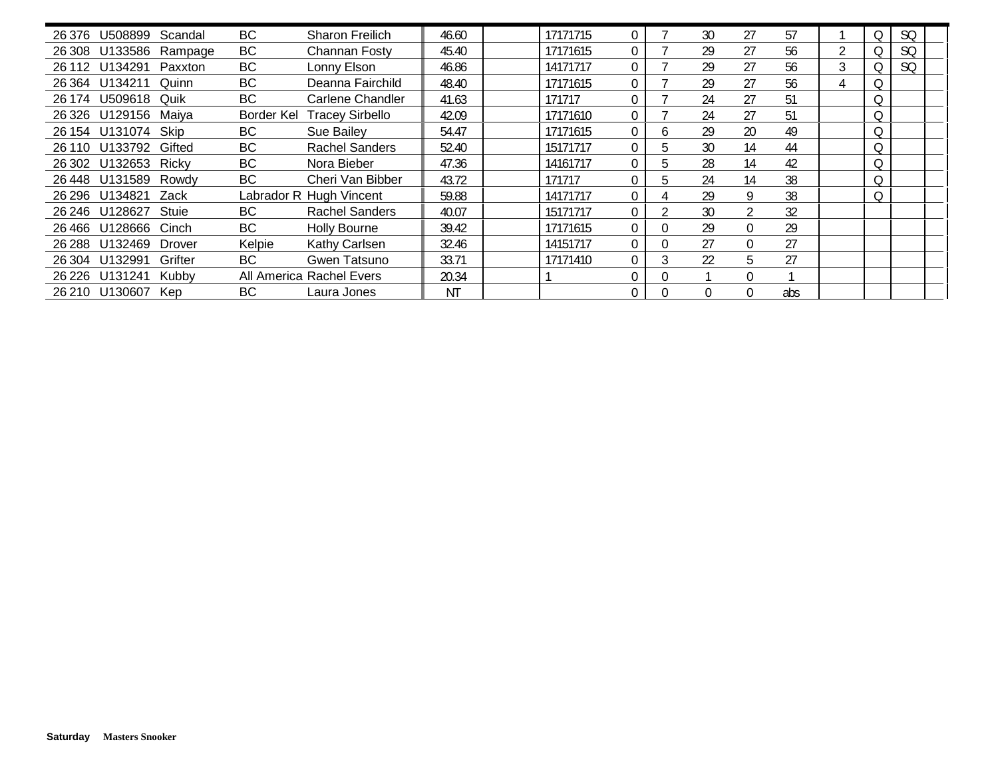| 26 376 U508899 Scandal |                        | BC         | <b>Sharon Freilich</b>   | 46.60     | 17171715 |                |    | 30 | 27          | 57  |               |   | <b>SQ</b> |  |
|------------------------|------------------------|------------|--------------------------|-----------|----------|----------------|----|----|-------------|-----|---------------|---|-----------|--|
|                        | 26 308 U133586 Rampage | BC         | Channan Fosty            | 45.40     | 17171615 | $\overline{0}$ |    | 29 | 27          | 56  |               | Q | SQ        |  |
| 26 112 U134291         | Paxxton                | BС         | Lonny Elson              | 46.86     | 14171717 | $\Omega$       |    | 29 | 27          | 56  | $\mathcal{S}$ | Q | SQ        |  |
| 26 364 U134211         | Quinn                  | BC         | Deanna Fairchild         | 48.40     | 17171615 | $\overline{0}$ |    | 29 | 27          | 56  | 4             | Q |           |  |
| 26 174 U509618         | Quik                   | BC         | Carlene Chandler         | 41.63     | 171717   |                |    | 24 | 27          | 51  |               | Q |           |  |
| 26 326 U129156 Maiya   |                        | Border Kel | <b>Tracey Sirbello</b>   | 42.09     | 17171610 | $\overline{0}$ |    | 24 | 27          | 51  |               | Q |           |  |
| 26 154 U131074 Skip    |                        | BC         | Sue Bailey               | 54.47     | 17171615 | $\overline{0}$ | h  | 29 | 20          | 49  |               | Q |           |  |
| 26 110 U133792 Gifted  |                        | BC         | <b>Rachel Sanders</b>    | 52.40     | 15171717 | 0              | 5  | 30 | 14          | 44  |               | Q |           |  |
| 26 302 U132653 Ricky   |                        | BC         | Nora Bieber              | 47.36     | 14161717 | $\Omega$       | 5  | 28 | 14          | 42  |               | Q |           |  |
| 26 448 U131589 Rowdy   |                        | BC         | Cheri Van Bibber         | 43.72     | 171717   | $\Omega$       | 5  | 24 | 14          | 38  |               | Q |           |  |
| 26 296 U134821         | Zack                   |            | Labrador R Hugh Vincent  | 59.88     | 14171717 | $\Omega$       |    | 29 | 9           | 38  |               | Q |           |  |
| 26 246 U128627 Stuie   |                        | BC.        | <b>Rachel Sanders</b>    | 40.07     | 15171717 | $\overline{0}$ |    | 30 | 2           | 32  |               |   |           |  |
| 26 466 U128666         | Cinch                  | BC         | <b>Holly Bourne</b>      | 39.42     | 17171615 | $\Omega$       |    | 29 | $\Omega$    | 29  |               |   |           |  |
| 26 288 U132469         | Drover                 | Kelpie     | Kathy Carlsen            | 32.46     | 14151717 | $\overline{0}$ |    | 27 | $\mathbf 0$ | 27  |               |   |           |  |
| 26 304 U132991         | Grifter                | BC         | Gwen Tatsuno             | 33.71     | 17171410 | $\overline{0}$ | .3 | 22 | 5           | 27  |               |   |           |  |
| 26 226 U131241         | Kubby                  |            | All America Rachel Evers | 20.34     |          |                |    |    | $\mathbf 0$ |     |               |   |           |  |
| 26 210 U130607         | Kep                    | BC         | Laura Jones              | <b>NT</b> |          | 0              |    |    | 0           | abs |               |   |           |  |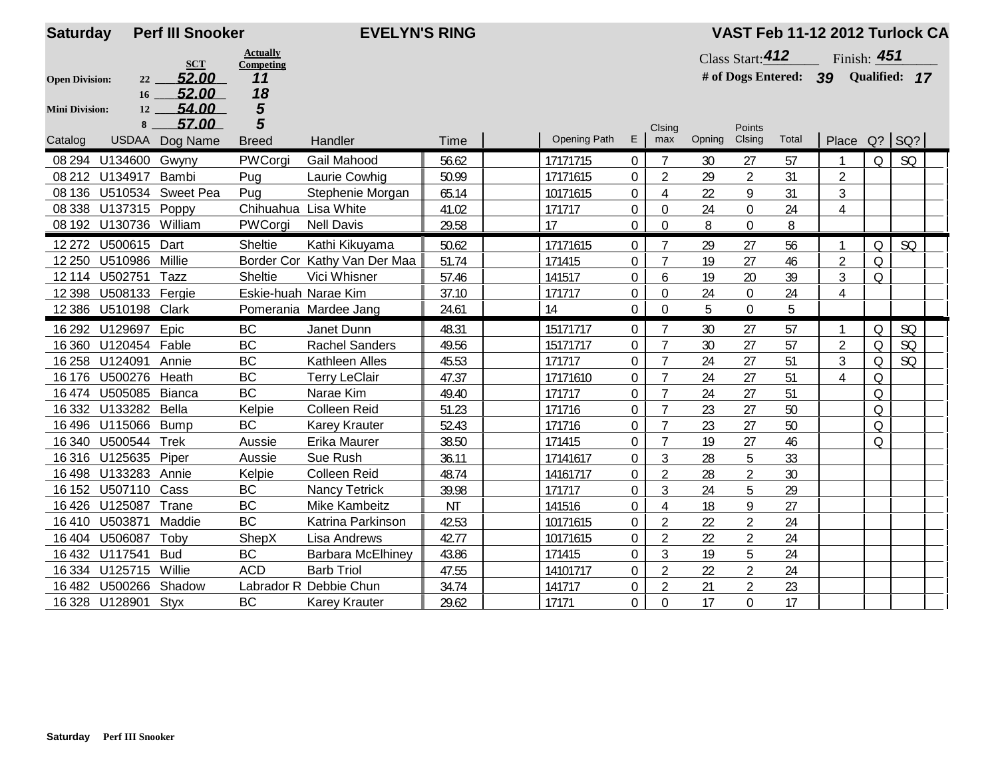| <b>Saturday</b>       |                       | <b>Perf III Snooker</b> |                      | <b>EVELYN'S RING</b>         |             |                     |                  |                |        |                  |       |                                     |             | VAST Feb 11-12 2012 Turlock CA |
|-----------------------|-----------------------|-------------------------|----------------------|------------------------------|-------------|---------------------|------------------|----------------|--------|------------------|-------|-------------------------------------|-------------|--------------------------------|
|                       |                       |                         | <b>Actually</b>      |                              |             |                     |                  |                |        | Class Start: 412 |       |                                     | Finish: 451 |                                |
| <b>Open Division:</b> | 22                    | <b>SCT</b><br>52.00     | Competing<br>11      |                              |             |                     |                  |                |        |                  |       | # of Dogs Entered: 39 Qualified: 17 |             |                                |
|                       | 16                    | 52.00                   | 18                   |                              |             |                     |                  |                |        |                  |       |                                     |             |                                |
| <b>Mini Division:</b> | 12                    | 54.00                   | 5                    |                              |             |                     |                  |                |        |                  |       |                                     |             |                                |
|                       | 8                     | 57.00                   | 5                    |                              |             |                     |                  | Clsing         |        | Points           |       |                                     |             |                                |
| Catalog               |                       | USDAA Dog Name          | <b>Breed</b>         | Handler                      | <b>Time</b> | <b>Opening Path</b> | E                | max            | Opning | Clsing           | Total | Place $Q$ ? $SQ$ ?                  |             |                                |
|                       | 08 294 U134600        | Gwyny                   | PWCorgi              | Gail Mahood                  | 56.62       | 17171715            | $\overline{0}$   | 7              | 30     | 27               | 57    |                                     | $\Omega$    | SQ                             |
|                       | 08 212 U134917        | Bambi                   | Pug                  | Laurie Cowhig                | 50.99       | 17171615            | $\overline{0}$   | $\overline{2}$ | 29     | $\overline{2}$   | 31    | $\overline{2}$                      |             |                                |
| 08 136                | U510534               | <b>Sweet Pea</b>        | Pug                  | Stephenie Morgan             | 65.14       | 10171615            | $\boldsymbol{0}$ | $\overline{4}$ | 22     | 9                | 31    | 3                                   |             |                                |
|                       | 08 338 U137315 Poppy  |                         | Chihuahua Lisa White |                              | 41.02       | 171717              | $\boldsymbol{0}$ | $\mathbf 0$    | 24     | $\mathbf 0$      | 24    | $\overline{4}$                      |             |                                |
|                       | 08 192 U130736        | William                 | PWCorgi              | <b>Nell Davis</b>            | 29.58       | 17                  | $\mathbf 0$      | $\overline{0}$ | 8      | $\mathbf 0$      | 8     |                                     |             |                                |
|                       | 12 272 U500615 Dart   |                         | <b>Sheltie</b>       | Kathi Kikuyama               | 50.62       | 17171615            | $\boldsymbol{0}$ | 7              | 29     | 27               | 56    |                                     | Q           | SQ                             |
| 12 250                | U510986               | Millie                  |                      | Border Cor Kathy Van Der Maa | 51.74       | 171415              | $\boldsymbol{0}$ | $\overline{7}$ | 19     | 27               | 46    | $\overline{2}$                      | $\Omega$    |                                |
|                       | 12 114 U502751        | Tazz                    | Sheltie              | Vici Whisner                 | 57.46       | 141517              | $\overline{0}$   | 6              | 19     | 20               | 39    | 3                                   | $\circ$     |                                |
|                       | 12 398 U508133 Fergie |                         | Eskie-huah Narae Kim |                              | 37.10       | 171717              | $0\,$            | $\mathbf 0$    | 24     | $\boldsymbol{0}$ | 24    | 4                                   |             |                                |
| 12 3 8 6              | U510198 Clark         |                         |                      | Pomerania Mardee Jang        | 24.61       | 14                  | $\overline{0}$   | $\overline{0}$ | 5      | $\overline{0}$   | 5     |                                     |             |                                |
|                       | 16 292 U129697        | Epic                    | <b>BC</b>            | Janet Dunn                   | 48.31       | 15171717            | $\overline{0}$   | $\overline{7}$ | 30     | 27               | 57    |                                     | $\Omega$    | SQ                             |
|                       | 16 360 U120454 Fable  |                         | <b>BC</b>            | Rachel Sanders               | 49.56       | 15171717            | $\overline{0}$   | $\overline{7}$ | 30     | 27               | 57    | 2                                   | Q           | SQ                             |
|                       | 16 258 U124091        | Annie                   | <b>BC</b>            | Kathleen Alles               | 45.53       | 171717              | $\overline{0}$   | $\overline{7}$ | 24     | 27               | 51    | 3                                   | Q           | <b>SQ</b>                      |
| 16 176                | U500276 Heath         |                         | <b>BC</b>            | <b>Terry LeClair</b>         | 47.37       | 17171610            | $\boldsymbol{0}$ | $\overline{7}$ | 24     | 27               | 51    | 4                                   | Q           |                                |
|                       | 16 474 U505085 Bianca |                         | <b>BC</b>            | Narae Kim                    | 49.40       | 171717              | $\overline{0}$   | $\overline{7}$ | 24     | 27               | 51    |                                     | Q           |                                |
|                       | 16 332 U133282 Bella  |                         | Kelpie               | <b>Colleen Reid</b>          | 51.23       | 171716              | $\boldsymbol{0}$ | $\overline{7}$ | 23     | 27               | 50    |                                     | $\mathsf O$ |                                |
| 16496                 | U115066               | <b>Bump</b>             | <b>BC</b>            | <b>Karey Krauter</b>         | 52.43       | 171716              | $\overline{0}$   | $\overline{7}$ | 23     | 27               | 50    |                                     | Q           |                                |
| 16 340                | U500544               | Trek                    | Aussie               | Erika Maurer                 | 38.50       | 171415              | $\overline{0}$   | $\overline{7}$ | 19     | 27               | 46    |                                     | Q           |                                |
|                       | 16 316 U125635        | Piper                   | Aussie               | Sue Rush                     | 36.11       | 17141617            | $\boldsymbol{0}$ | $\mathfrak{Z}$ | 28     | 5                | 33    |                                     |             |                                |
|                       | 16 498 U133283        | Annie                   | Kelpie               | <b>Colleen Reid</b>          | 48.74       | 14161717            | $0\,$            | $\overline{2}$ | 28     | $\overline{2}$   | 30    |                                     |             |                                |
|                       | 16 152 U507110        | Cass                    | BC                   | <b>Nancy Tetrick</b>         | 39.98       | 171717              | $\boldsymbol{0}$ | 3              | 24     | 5                | 29    |                                     |             |                                |
|                       | 16 426 U125087        | Trane                   | <b>BC</b>            | Mike Kambeitz                | <b>NT</b>   | 141516              | $\mathbf 0$      | $\overline{A}$ | 18     | 9                | 27    |                                     |             |                                |
|                       | 16410 U503871         | Maddie                  | <b>BC</b>            | Katrina Parkinson            | 42.53       | 10171615            | $\boldsymbol{0}$ | $\overline{2}$ | 22     | $\overline{2}$   | 24    |                                     |             |                                |
|                       | 16 404 U506087        | Toby                    | ShepX                | Lisa Andrews                 | 42.77       | 10171615            | $\overline{0}$   | $\overline{2}$ | 22     | $\overline{2}$   | 24    |                                     |             |                                |
|                       | 16 432 U117541        | <b>Bud</b>              | <b>BC</b>            | Barbara McElhiney            | 43.86       | 171415              | $\overline{0}$   | 3              | 19     | 5                | 24    |                                     |             |                                |
|                       | 16 334 U125715        | Willie                  | <b>ACD</b>           | <b>Barb Triol</b>            | 47.55       | 14101717            | $\mathbf 0$      | $\overline{2}$ | 22     | $\overline{2}$   | 24    |                                     |             |                                |
|                       | 16 482 U500266 Shadow |                         |                      | Labrador R Debbie Chun       | 34.74       | 141717              | $\overline{0}$   | $\overline{2}$ | 21     | $\overline{2}$   | 23    |                                     |             |                                |
|                       | 16 328 U128901 Styx   |                         | <b>BC</b>            | <b>Karey Krauter</b>         | 29.62       | 17171               | $\mathbf 0$      | $\overline{0}$ | 17     | $\overline{0}$   | 17    |                                     |             |                                |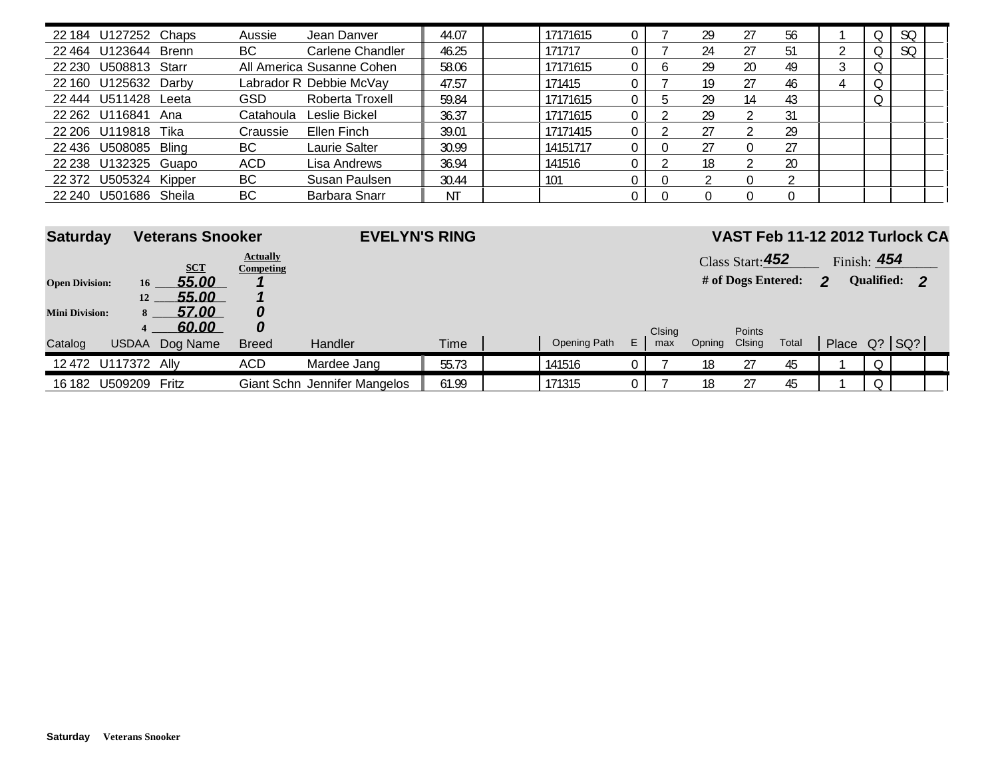| U127252 Chaps<br>22 184        | Aussie                    | Jean Danver      | 44.07 | 17171615 |   | 29 | 27 | 56 |  | <sub>SQ</sub> |  |
|--------------------------------|---------------------------|------------------|-------|----------|---|----|----|----|--|---------------|--|
| U123644<br>Brenn<br>22 464     | <b>BC</b>                 | Carlene Chandler | 46.25 | 171717   |   | 24 | 27 | 51 |  | <b>SQ</b>     |  |
| U508813 Starr<br>22 230        | All America Susanne Cohen |                  | 58.06 | 17171615 |   | 29 | 20 | 49 |  |               |  |
| U125632<br>Darby<br>22 160     | Labrador R Debbie McVay   |                  | 47.57 | 171415   |   | 10 | 27 | 46 |  |               |  |
| 22444 U511428<br>Leeta         | GSD                       | Roberta Troxell  | 59.84 | 17171615 |   | 29 | 14 | 43 |  |               |  |
| 22 262 U116841<br>Ana          | Catahoula                 | Leslie Bickel    | 36.37 | 17171615 |   | 29 |    | 31 |  |               |  |
| 22 206 U119818<br>Tika         | Craussie                  | Ellen Finch      | 39.01 | 17171415 |   |    |    | 29 |  |               |  |
| 22 436 U508085<br><b>Bling</b> | BC                        | Laurie Salter    | 30.99 | 14151717 | 0 |    |    | 27 |  |               |  |
| U132325 Guapo<br>22 238        | <b>ACD</b>                | Lisa Andrews     | 36.94 | 141516   |   | 18 |    | 20 |  |               |  |
| 22 372 U505324 Kipper          | BC                        | Susan Paulsen    | 30.44 | 101      |   |    |    | ി  |  |               |  |
| U501686<br>Sheila<br>22 240    | BC                        | Barbara Snarr    | ΝT    |          |   |    |    |    |  |               |  |

| <b>Saturday</b>       |                                                     | <b>Veterans Snooker</b> |                              | <b>EVELYN'S RING</b>         |       |              |   |               |        |                    |       | VAST Feb 11-12 2012 Turlock CA |                   |                   |  |
|-----------------------|-----------------------------------------------------|-------------------------|------------------------------|------------------------------|-------|--------------|---|---------------|--------|--------------------|-------|--------------------------------|-------------------|-------------------|--|
|                       |                                                     | <b>SCT</b>              | <b>Actually</b><br>Competing |                              |       |              |   |               |        | Class Start: 452   |       | Finish: $454$                  |                   |                   |  |
|                       | 55.00<br>16<br><b>Open Division:</b><br>55.00<br>12 |                         |                              |                              |       |              |   |               |        | # of Dogs Entered: |       | 2                              | <b>Oualified:</b> | - 2               |  |
|                       |                                                     |                         |                              |                              |       |              |   |               |        |                    |       |                                |                   |                   |  |
| <b>Mini Division:</b> | 8                                                   | 57.00<br>60.00          |                              |                              |       |              |   |               |        |                    |       |                                |                   |                   |  |
| Catalog               | 4<br><b>USDAA</b>                                   | Dog Name                | <b>Breed</b>                 | Handler                      | Time  | Opening Path | E | Clsing<br>max | Opning | Points<br>Clsing   | Total | Place                          |                   | $Q$ ? $ SQ$ ? $ $ |  |
|                       | 12 472 U117372 Ally                                 |                         | ACD                          | Mardee Jang                  | 55.73 | 141516       |   |               | 18     | 27                 | 45    |                                |                   |                   |  |
| 16 182                | U509209                                             | Fritz                   |                              | Giant Schn Jennifer Mangelos | 61.99 | 171315       |   |               | 18     | 27                 | 45    |                                |                   |                   |  |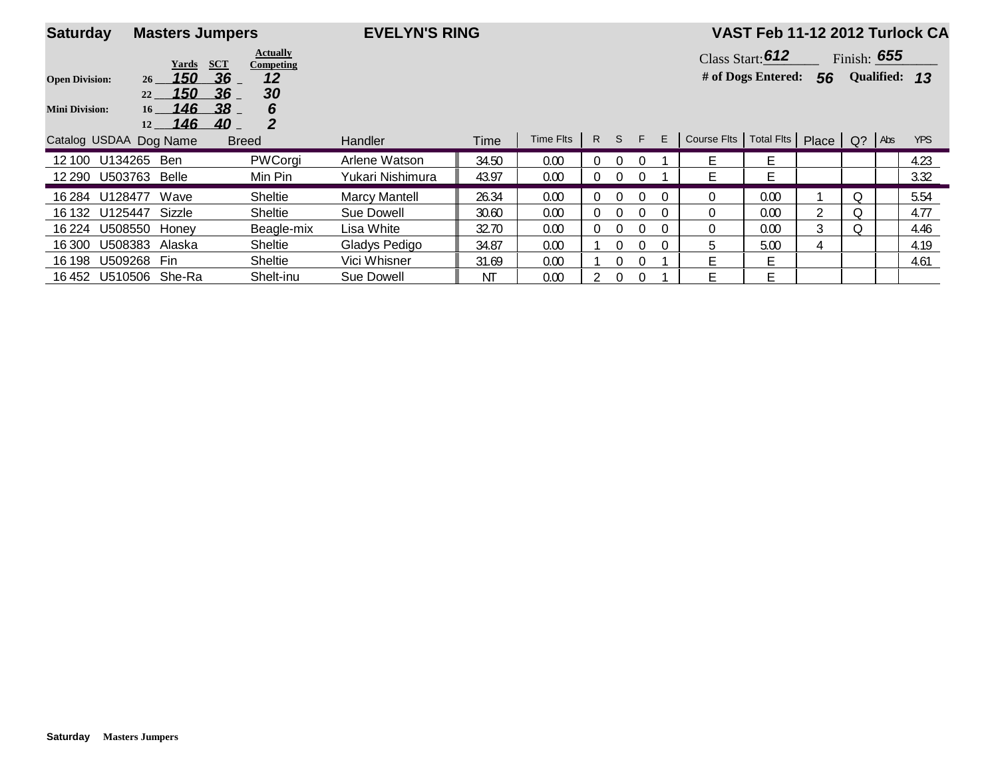| <b>Saturday</b>        | <b>Masters Jumpers</b>              |                                             | <b>EVELYN'S RING</b> |       |           |    |          |          |          |                          | VAST Feb 11-12 2012 Turlock CA |                        |               |            |
|------------------------|-------------------------------------|---------------------------------------------|----------------------|-------|-----------|----|----------|----------|----------|--------------------------|--------------------------------|------------------------|---------------|------------|
|                        | Yards                               | <b>Actually</b><br>SCT<br>Competing         |                      |       |           |    |          |          |          |                          | Class Start: 612               |                        | Finish: $655$ |            |
| <b>Open Division:</b>  | 150<br>26                           | 36<br>12                                    |                      |       |           |    |          |          |          |                          | # of Dogs Entered:             | 56                     | Qualified: 13 |            |
| <b>Mini Division:</b>  | 150<br>22<br>146<br>16<br>146<br>12 | 36<br>30<br>38 <sup>°</sup><br>6<br>2<br>40 |                      |       |           |    |          |          |          |                          |                                |                        |               |            |
| Catalog USDAA Dog Name |                                     | <b>Breed</b>                                | <b>Handler</b>       | Time  | Time Flts | R  |          | S F      | E.       | Course Flts   Total Flts |                                | Place $\sqrt{Q}$ ? Abs |               | <b>YPS</b> |
| 12 100                 | U134265 Ben                         | PWCorgi                                     | Arlene Watson        | 34.50 | 0.00      | 0  |          | $\Omega$ |          | E                        | E.                             |                        |               | 4.23       |
| 12 290                 | U503763 Belle                       | Min Pin                                     | Yukari Nishimura     | 43.97 | 0.00      | O. | $\Omega$ | $\Omega$ |          | F                        | F.                             |                        |               | 3.32       |
| U128477<br>16 284      | Wave                                | <b>Sheltie</b>                              | <b>Marcy Mantell</b> | 26.34 | 0.00      | 0  | $\Omega$ | $\Omega$ |          | 0                        | 0.00                           |                        |               | 5.54       |
| U125447<br>16 132      | Sizzle                              | <b>Sheltie</b>                              | Sue Dowell           | 30.60 | 0.00      | 0  | $\cap$   | $\Omega$ | $\Omega$ | 0                        | 0.00                           |                        |               | 4.77       |
| 16 224                 | U508550 Honey                       | Beagle-mix                                  | Lisa White           | 32.70 | 0.00      | O. | - 0      | $\Omega$ |          | 0                        | 0.00                           | 3                      |               | 4.46       |
| 16 300                 | U508383 Alaska                      | <b>Sheltie</b>                              | Gladys Pedigo        | 34.87 | 0.00      |    | -0       | $\Omega$ | $\Omega$ | 5                        | 5.00                           | 4                      |               | 4.19       |
| 16 198                 | U509268<br>Fin                      | <b>Sheltie</b>                              | Vici Whisner         | 31.69 | 0.00      |    | $\Omega$ | $\Omega$ |          | F                        | F.                             |                        |               | 4.61       |
|                        | 16 452 U510506 She-Ra               | Shelt-inu                                   | Sue Dowell           | ΝT    | 0.00      |    | $\Omega$ | $\Omega$ |          | E                        | Е                              |                        |               |            |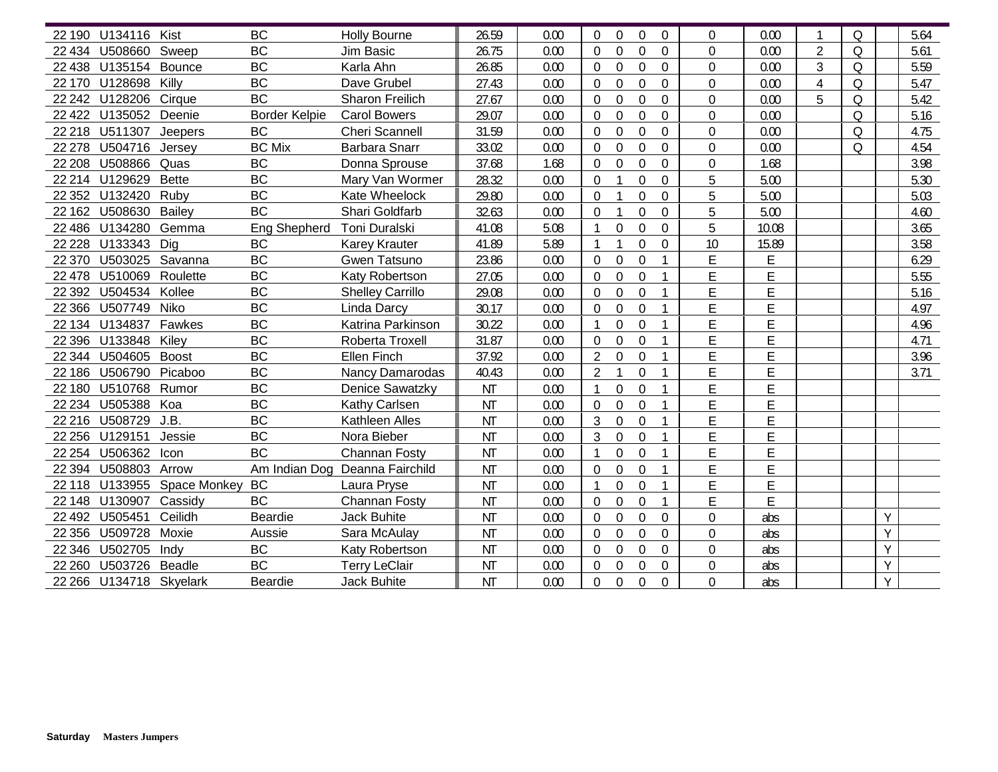|        | 22 190 U134116 Kist     |                                | <b>BC</b>            | <b>Holly Bourne</b>            | 26.59     | 0.00 | $\Omega$       | $\Omega$<br>$\mathbf{0}$             | $\overline{0}$ | $\Omega$       | 0.00  |                | Q |   | 5.64 |
|--------|-------------------------|--------------------------------|----------------------|--------------------------------|-----------|------|----------------|--------------------------------------|----------------|----------------|-------|----------------|---|---|------|
|        | 22 434 U508660          | Sweep                          | <b>BC</b>            | <b>Jim Basic</b>               | 26.75     | 0.00 | $\Omega$       | $\Omega$<br>$\mathbf 0$              | $\Omega$       | $\Omega$       | 0.00  | $\overline{2}$ | Q |   | 5.61 |
|        | 22 438 U135154 Bounce   |                                | <b>BC</b>            | Karla Ahn                      | 26.85     | 0.00 | $\theta$       | $\mathbf 0$<br>$\Omega$              | $\Omega$       | 0              | 0.00  | 3              | Q |   | 5.59 |
|        | 22 170 U128698          | Killy                          | <b>BC</b>            | Dave Grubel                    | 27.43     | 0.00 | $\overline{0}$ | 0<br>$\mathbf 0$                     | $\theta$       | $\Omega$       | 0.00  | 4              | Q |   | 5.47 |
|        | 22 242 U128206          | Cirque                         | <b>BC</b>            | Sharon Freilich                | 27.67     | 0.00 | $\Omega$       | $\mathbf 0$<br>$\boldsymbol{0}$      | $\theta$       | $\Omega$       | 0.00  | 5              | Q |   | 5.42 |
|        | 22 422 U135052 Deenie   |                                | <b>Border Kelpie</b> | <b>Carol Bowers</b>            | 29.07     | 0.00 | $\theta$       | $\mathbf 0$<br>$\mathbf 0$           | $\Omega$       | $\Omega$       | 0.00  |                | Q |   | 5.16 |
|        | 22 218 U511307          | Jeepers                        | <b>BC</b>            | <b>Cheri Scannell</b>          | 31.59     | 0.00 | 0              | $\boldsymbol{0}$<br>$\boldsymbol{0}$ | $\theta$       | 0              | 0.00  |                | Q |   | 4.75 |
| 22 278 | U504716                 | Jersey                         | <b>BC Mix</b>        | <b>Barbara Snarr</b>           | 33.02     | 0.00 | 0              | $\mathbf 0$<br>$\mathbf 0$           | 0              | $\overline{0}$ | 0.00  |                | Q |   | 4.54 |
|        | 22 208 U508866          | Quas                           | <b>BC</b>            | Donna Sprouse                  | 37.68     | 1.68 | 0              | $\mathbf 0$<br>$\mathbf 0$           | $\Omega$       | $\Omega$       | 1.68  |                |   |   | 3.98 |
|        | 22 214 U129629          | <b>Bette</b>                   | <b>BC</b>            | Mary Van Wormer                | 28.32     | 0.00 | $\theta$       | $\mathbf 0$                          | $\Omega$       | 5              | 5.00  |                |   |   | 5.30 |
|        | 22 352 U132420 Ruby     |                                | <b>BC</b>            | Kate Wheelock                  | 29.80     | 0.00 | $\Omega$       | $\mathbf 0$                          | $\Omega$       | 5              | 5.00  |                |   |   | 5.03 |
|        | 22 162 U508630 Bailey   |                                | <b>BC</b>            | Shari Goldfarb                 | 32.63     | 0.00 | $\Omega$       | $\mathbf 0$                          | $\Omega$       | 5              | 5.00  |                |   |   | 4.60 |
|        | 22 486 U134280 Gemma    |                                | Eng Shepherd         | Toni Duralski                  | 41.08     | 5.08 |                | $\Omega$<br>$\Omega$                 | $\Omega$       | 5              | 10.08 |                |   |   | 3.65 |
|        | 22 228 U133343 Dig      |                                | <b>BC</b>            | <b>Karey Krauter</b>           | 41.89     | 5.89 | -1             | $\mathbf 0$                          | $\theta$       | 10             | 15.89 |                |   |   | 3.58 |
|        | 22 370 U503025 Savanna  |                                | <b>BC</b>            | <b>Gwen Tatsuno</b>            | 23.86     | 0.00 | $\Omega$       | $\Omega$<br>$\boldsymbol{0}$         |                | E              | E     |                |   |   | 6.29 |
|        | 22 478 U510069 Roulette |                                | <b>BC</b>            | Katy Robertson                 | 27.05     | 0.00 | $\Omega$       | $\theta$<br>$\mathbf 0$              |                | E              | E     |                |   |   | 5.55 |
|        | 22 392 U504534 Kollee   |                                | <b>BC</b>            | <b>Shelley Carrillo</b>        | 29.08     | 0.00 | $\theta$       | $\mathbf 0$<br>$\theta$              |                | E              | E     |                |   |   | 5.16 |
|        | 22 366 U507749          | Niko                           | <b>BC</b>            | Linda Darcy                    | 30.17     | 0.00 | 0              | $\mathbf 0$<br>$\mathbf 0$           |                | E              | E     |                |   |   | 4.97 |
|        | 22 134 U134837 Fawkes   |                                | <b>BC</b>            | Katrina Parkinson              | 30.22     | 0.00 | -1             | $\boldsymbol{0}$<br>$\mathbf 0$      |                | Ē              | E     |                |   |   | 4.96 |
|        | 22 396 U133848 Kiley    |                                | <b>BC</b>            | Roberta Troxell                | 31.87     | 0.00 | $\theta$       | $\mathbf 0$<br>$\overline{0}$        |                | E              | E     |                |   |   | 4.71 |
|        | 22 344 U504605 Boost    |                                | <b>BC</b>            | Ellen Finch                    | 37.92     | 0.00 | $\overline{2}$ | $\Omega$<br>$\Omega$                 |                | E              | E     |                |   |   | 3.96 |
|        | 22 186 U506790 Picaboo  |                                | <b>BC</b>            | Nancy Damarodas                | 40.43     | 0.00 | 2              | $\mathbf 0$                          |                | E              | E     |                |   |   | 3.71 |
|        | 22 180 U510768 Rumor    |                                | <b>BC</b>            | <b>Denice Sawatzky</b>         | <b>NT</b> | 0.00 | $\mathbf 1$    | $\Omega$<br>$\boldsymbol{0}$         |                | E              | E     |                |   |   |      |
|        | 22 234 U505388 Koa      |                                | <b>BC</b>            | Kathy Carlsen                  | <b>NT</b> | 0.00 | $\Omega$       | $\mathbf 0$<br>$\boldsymbol{0}$      |                | E              | E     |                |   |   |      |
|        | 22 216 U508729          | J.B.                           | <b>BC</b>            | Kathleen Alles                 | <b>NT</b> | 0.00 | 3              | $\mathbf 0$<br>$\boldsymbol{0}$      |                | E              | E     |                |   |   |      |
|        | 22 256 U129151          | Jessie                         | <b>BC</b>            | Nora Bieber                    | <b>NT</b> | 0.00 | 3              | $\mathbf 0$<br>$\mathbf 0$           |                | E              | E     |                |   |   |      |
|        | 22 254 U506362          | Icon                           | <b>BC</b>            | <b>Channan Fosty</b>           | <b>NT</b> | 0.00 | -1             | $\theta$<br>$\Omega$                 |                | E              | E     |                |   |   |      |
|        | 22 394 U508803 Arrow    |                                |                      | Am Indian Dog Deanna Fairchild | <b>NT</b> | 0.00 | 0              | $\mathbf 0$<br>$\theta$              |                | Ē              | E     |                |   |   |      |
|        |                         | 22 118 U133955 Space Monkey BC |                      | Laura Pryse                    | <b>NT</b> | 0.00 | $\mathbf{1}$   | 0<br>$\mathbf 0$                     |                | E              | E     |                |   |   |      |
|        | 22 148 U130907          | Cassidy                        | <b>BC</b>            | Channan Fosty                  | <b>NT</b> | 0.00 | $\Omega$       | $\theta$<br>$\Omega$                 |                | F              | E     |                |   |   |      |
|        | 22 492 U505451          | Ceilidh                        | Beardie              | <b>Jack Buhite</b>             | <b>NT</b> | 0.00 | $\theta$       | $\overline{0}$<br>$\Omega$           | $\Omega$       | $\Omega$       | abs   |                |   | Y |      |
|        | 22 356 U509728          | Moxie                          | Aussie               | Sara McAulay                   | <b>NT</b> | 0.00 | $\Omega$       | $\overline{0}$<br>$\mathbf 0$        | 0              | $\Omega$       | abs   |                |   | Y |      |
|        | 22 346 U502705          | Indv                           | <b>BC</b>            | Katy Robertson                 | <b>NT</b> | 0.00 | $\overline{0}$ | 0<br>$\boldsymbol{0}$                | $\overline{0}$ | $\overline{0}$ | abs   |                |   | Y |      |
|        | 22 260 U503726 Beadle   |                                | <b>BC</b>            | <b>Terry LeClair</b>           | <b>NT</b> | 0.00 | $\theta$       | $\theta$<br>$\boldsymbol{0}$         | $\Omega$       | $\Omega$       | abs   |                |   | Υ |      |
|        | 22 266 U134718 Skyelark |                                | Beardie              | <b>Jack Buhite</b>             | <b>NT</b> | 0.00 | 0              | $\overline{0}$<br>$\mathbf 0$        | $\Omega$       | $\Omega$       | abs   |                |   | Y |      |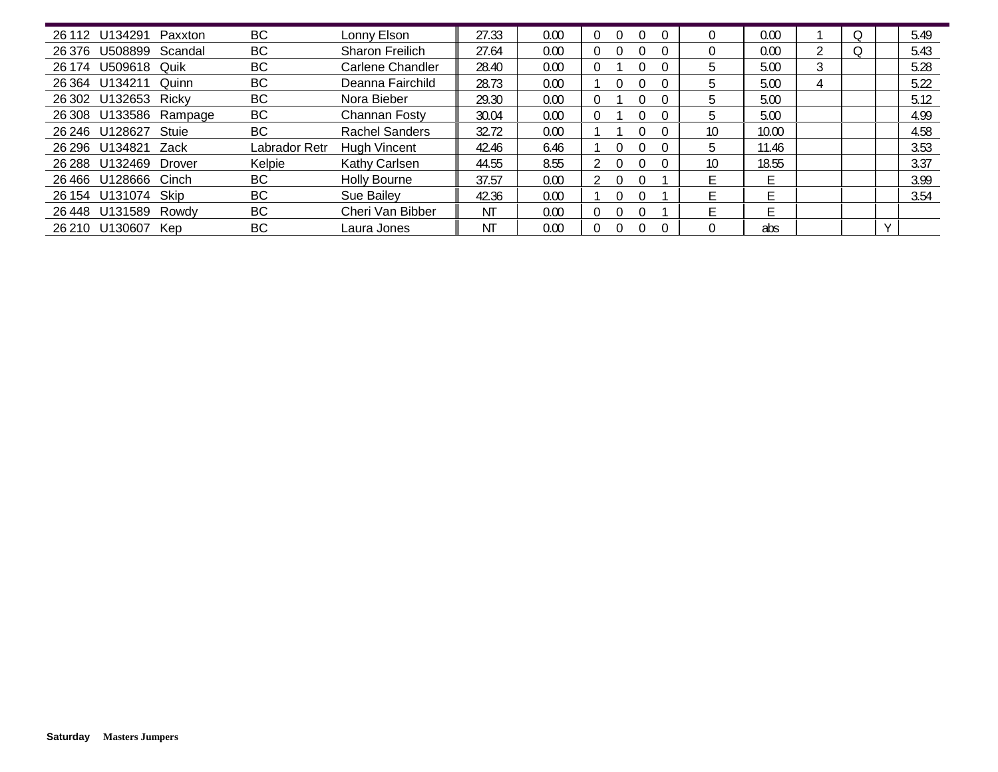| U134291<br>26 112      | Paxxton    | <b>BC</b>     | Lonny Elson            | 27.33     | 0.00 |    | 0.00  |               |  | 5.49 |
|------------------------|------------|---------------|------------------------|-----------|------|----|-------|---------------|--|------|
| U508899<br>26 376      | Scandal    | <b>BC</b>     | <b>Sharon Freilich</b> | 27.64     | 0.00 |    | 0.00  |               |  | 5.43 |
| U509618<br>26 174      | Quik       | <b>BC</b>     | Carlene Chandler       | 28.40     | 0.00 |    | 5.00  | $\mathcal{S}$ |  | 5.28 |
| 26 364 U134211         | Quinn      | BC            | Deanna Fairchild       | 28.73     | 0.00 |    | 5.00  |               |  | 5.22 |
| 26 302 U132653         | Ricky      | <b>BC</b>     | Nora Bieber            | 29.30     | 0.00 |    | 5.00  |               |  | 5.12 |
| 26 308 U133586 Rampage |            | <b>BC</b>     | <b>Channan Fosty</b>   | 30.04     | 0.00 |    | 5.00  |               |  | 4.99 |
| U128627<br>26 246      | Stuie      | <b>BC</b>     | <b>Rachel Sanders</b>  | 32.72     | 0.00 | 10 | 10.00 |               |  | 4.58 |
| U134821<br>26 296      | Zack       | Labrador Retr | Hugh Vincent           | 42.46     | 6.46 |    | 11.46 |               |  | 3.53 |
| 26 288 U132469         | Drover     | Kelpie        | Kathy Carlsen          | 44.55     | 8.55 | 10 | 18.55 |               |  | 3.37 |
| 26 466 U128666 Cinch   |            | BC            | Holly Bourne           | 37.57     | 0.00 |    | Е.    |               |  | 3.99 |
| 26 154 U131074         | Skip       | <b>BC</b>     | Sue Bailey             | 42.36     | 0.00 |    |       |               |  | 3.54 |
| U131589<br>26 448      | Rowdv      | BC            | Cheri Van Bibber       | <b>NT</b> | 0.00 |    | F.    |               |  |      |
| U130607<br>26 210      | <b>Kep</b> | BC            | Laura Jones            | <b>NT</b> | 0.00 |    | abs   |               |  |      |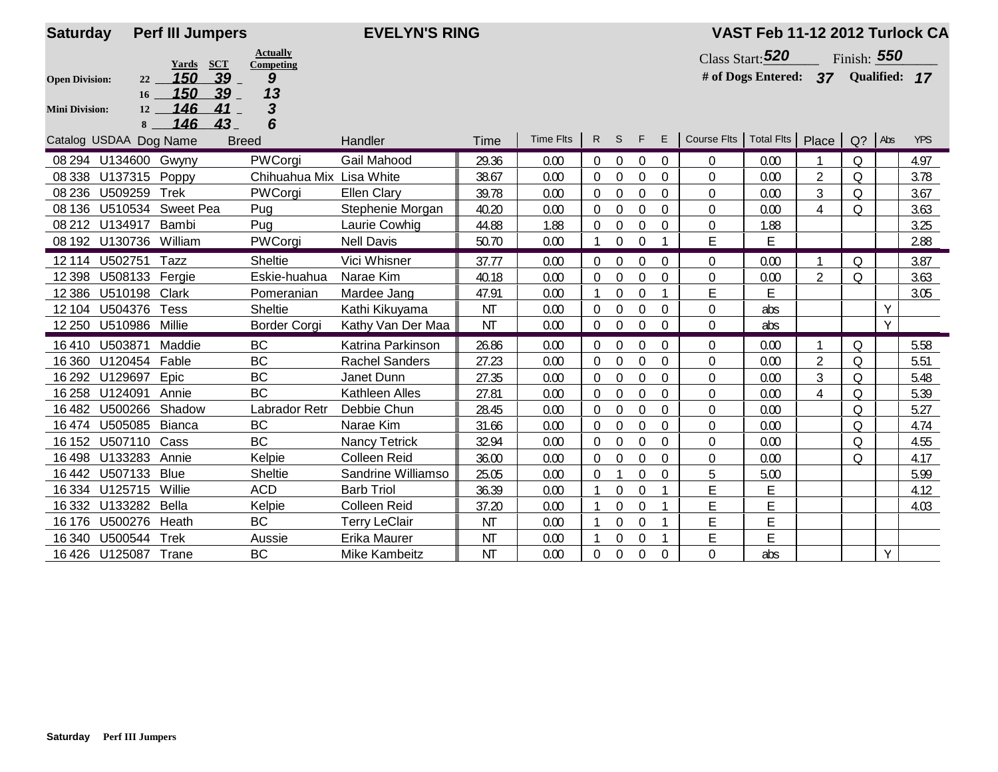| <b>Saturday</b>       |                        | <b>Perf III Jumpers</b> |                              | <b>EVELYN'S RING</b>  |           |           |                |                  |                |                  |                                  | VAST Feb 11-12 2012 Turlock CA      |                |          |             |            |
|-----------------------|------------------------|-------------------------|------------------------------|-----------------------|-----------|-----------|----------------|------------------|----------------|------------------|----------------------------------|-------------------------------------|----------------|----------|-------------|------------|
|                       |                        | Yards SCT               | <b>Actually</b><br>Competing |                       |           |           |                |                  |                |                  |                                  | Class Start: 520                    |                |          | Finish: 550 |            |
| <b>Open Division:</b> | 22                     | 150<br>39               | 9                            |                       |           |           |                |                  |                |                  |                                  | # of Dogs Entered: 37 Qualified: 17 |                |          |             |            |
|                       | 16                     | 150<br>$39-$            | 13                           |                       |           |           |                |                  |                |                  |                                  |                                     |                |          |             |            |
| <b>Mini Division:</b> | 12<br>8                | 146<br>41<br>146<br>43  | 3<br>6                       |                       |           |           |                |                  |                |                  |                                  |                                     |                |          |             |            |
|                       | Catalog USDAA Dog Name |                         | <b>Breed</b>                 | Handler               | Time      | Time Flts |                | $R$ S            | $-F$           | Е                | Course Flts   Total Flts   Place |                                     |                | Q? Abs   |             | <b>YPS</b> |
|                       | 08 294 U134600 Gwyny   |                         | PWCorgi                      | Gail Mahood           | 29.36     | 0.00      | $\Omega$       | $\Omega$         | $\Omega$       | $\Omega$         | $\Omega$                         | 0.00                                |                | $\Omega$ |             | 4.97       |
|                       | 08 338 U137315         | Poppy                   | Chihuahua Mix Lisa White     |                       | 38.67     | 0.00      | $\mathbf 0$    | $\mathbf{0}$     | $\overline{0}$ | 0                | $\overline{0}$                   | 0.00                                | 2              | Q        |             | 3.78       |
| 08 236                | U509259                | Trek                    | PWCorgi                      | <b>Ellen Clary</b>    | 39.78     | 0.00      | $\theta$       | 0                | 0              | 0                | 0                                | 0.00                                | 3              | Q        |             | 3.67       |
| 08 136                | U510534                | <b>Sweet Pea</b>        | Pug                          | Stephenie Morgan      | 40.20     | 0.00      | $\mathbf 0$    | 0                | 0              | 0                | $\Omega$                         | 0.00                                | 4              | $\circ$  |             | 3.63       |
|                       | 08 212 U134917         | Bambi                   | Pug                          | Laurie Cowhig         | 44.88     | 1.88      | $\theta$       | 0                | 0              | $\boldsymbol{0}$ | 0                                | 1.88                                |                |          |             | 3.25       |
|                       | 08 192 U130736 William |                         | PWCorgi                      | <b>Nell Davis</b>     | 50.70     | 0.00      | $\mathbf{1}$   | $\Omega$         | $\Omega$       |                  | E                                | E                                   |                |          |             | 2.88       |
|                       | 12 114 U502751         | Tazz                    | <b>Sheltie</b>               | Vici Whisner          | 37.77     | 0.00      | $\overline{0}$ | $\Omega$         | $\Omega$       | $\overline{0}$   | 0                                | 0.00                                |                | Q        |             | 3.87       |
|                       | 12 398 U508133         | Fergie                  | Eskie-huahua                 | Narae Kim             | 40.18     | 0.00      | $\Omega$       | $\Omega$         | $\Omega$       | $\Omega$         | 0                                | 0.00                                | $\overline{2}$ | $\circ$  |             | 3.63       |
| 12 3 8 6              | U510198                | Clark                   | Pomeranian                   | Mardee Jang           | 47.91     | 0.00      | $\mathbf 1$    | $\mathbf 0$      | $\overline{0}$ |                  | E                                | E                                   |                |          |             | 3.05       |
| 12 104                | U504376                | <b>Tess</b>             | <b>Sheltie</b>               | Kathi Kikuyama        | <b>NT</b> | 0.00      | $\mathbf 0$    | 0                | 0              | $\boldsymbol{0}$ | 0                                | abs                                 |                |          | Υ           |            |
| 12 250                | U510986 Millie         |                         | Border Corgi                 | Kathy Van Der Maa     | <b>NT</b> | 0.00      | $\mathbf 0$    | $\mathbf 0$      | $\mathbf 0$    | $\overline{0}$   | $\overline{0}$                   | abs                                 |                |          | Y           |            |
| 16410                 | U503871                | Maddie                  | <b>BC</b>                    | Katrina Parkinson     | 26.86     | 0.00      | $\mathbf 0$    | $\theta$         | 0              | 0                | 0                                | 0.00                                |                | Q        |             | 5.58       |
| 16 360                | U120454                | Fable                   | <b>BC</b>                    | <b>Rachel Sanders</b> | 27.23     | 0.00      | $\theta$       | $\mathbf 0$      | $\theta$       | 0                | 0                                | 0.00                                | $\overline{2}$ | Q        |             | 5.51       |
|                       | 16 292 U129697         | Epic                    | <b>BC</b>                    | Janet Dunn            | 27.35     | 0.00      | $\Omega$       | $\overline{0}$   | $\overline{0}$ | $\overline{0}$   | 0                                | 0.00                                | 3              | 0        |             | 5.48       |
|                       | 16 258 U124091         | Annie                   | <b>BC</b>                    | Kathleen Alles        | 27.81     | 0.00      | $\Omega$       | $\Omega$         | $\Omega$       | 0                | $\Omega$                         | 0.00                                | 4              | 0        |             | 5.39       |
|                       | 16 482 U500266         | Shadow                  | Labrador Retr                | Debbie Chun           | 28.45     | 0.00      | $\theta$       | $\overline{0}$   | $\Omega$       | $\overline{0}$   | $\Omega$                         | 0.00                                |                | $\circ$  |             | 5.27       |
| 16474                 | U505085                | <b>Bianca</b>           | <b>BC</b>                    | Narae Kim             | 31.66     | 0.00      | $\theta$       | $\Omega$         | $\Omega$       | $\theta$         | $\theta$                         | 0.00                                |                | $\Omega$ |             | 4.74       |
|                       | 16 152 U507110         | Cass                    | <b>BC</b>                    | <b>Nancy Tetrick</b>  | 32.94     | 0.00      | $\theta$       | $\Omega$         | $\Omega$       | $\theta$         | 0                                | 0.00                                |                | Q        |             | 4.55       |
| 16498                 | U133283                | Annie                   | Kelpie                       | <b>Colleen Reid</b>   | 36.00     | 0.00      | 0              | $\overline{0}$   | $\overline{0}$ | 0                | 0                                | 0.00                                |                | 0        |             | 4.17       |
|                       | 16 442 U507133         | <b>Blue</b>             | Sheltie                      | Sandrine Williamso    | 25.05     | 0.00      | $\theta$       | $\mathbf{1}$     | $\mathbf 0$    | 0                | 5                                | 5.00                                |                |          |             | 5.99       |
| 16 3 34               | U125715                | Willie                  | <b>ACD</b>                   | <b>Barb Triol</b>     | 36.39     | 0.00      |                | $\boldsymbol{0}$ | 0              |                  | E                                | E                                   |                |          |             | 4.12       |
|                       | 16 332 U133282         | Bella                   | Kelpie                       | <b>Colleen Reid</b>   | 37.20     | 0.00      | $\mathbf 1$    | $\theta$         | $\Omega$       |                  | E                                | E                                   |                |          |             | 4.03       |
| 16 176                | U500276                | Heath                   | <b>BC</b>                    | <b>Terry LeClair</b>  | <b>NT</b> | 0.00      | $\mathbf 1$    | 0                | 0              |                  | E                                | E                                   |                |          |             |            |
| 16 340                | U500544                | Trek                    | Aussie                       | Erika Maurer          | <b>NT</b> | 0.00      | -1             | 0                | 0              |                  | E                                | E                                   |                |          |             |            |
|                       | 16 426 U125087 Trane   |                         | BC                           | Mike Kambeitz         | <b>NT</b> | 0.00      | 0              | $\mathbf 0$      | $\overline{0}$ | $\overline{0}$   | 0                                | abs                                 |                |          | Y           |            |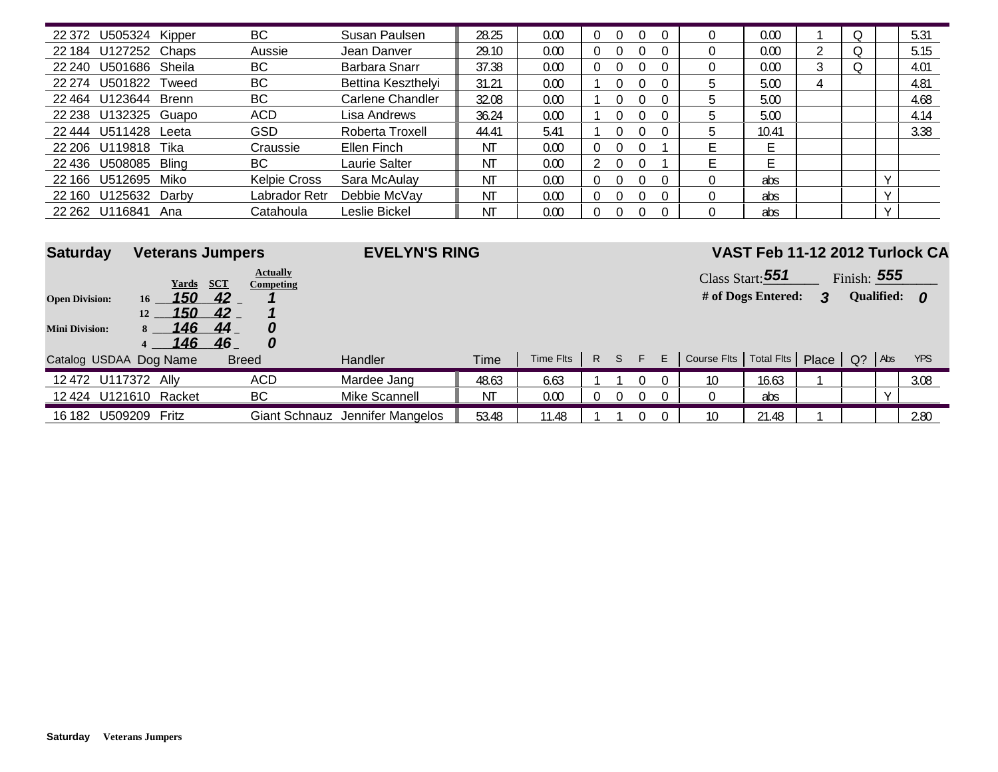| U505324 Kipper<br>22 372   | <b>BC</b>           | Susan Paulsen      | 28.25     | 0.00 |  | 0.00  |  | 5.31 |  |
|----------------------------|---------------------|--------------------|-----------|------|--|-------|--|------|--|
| 22 184 U127252 Chaps       | Aussie              | Jean Danver        | 29.10     | 0.00 |  | 0.00  |  | 5.15 |  |
| U501686 Sheila<br>22 240   | <b>BC</b>           | Barbara Snarr      | 37.38     | 0.00 |  | 0.00  |  | 4.01 |  |
| U501822<br>22 274<br>Tweed | <b>BC</b>           | Bettina Keszthelyi | 31.21     | 0.00 |  | 5.00  |  | 4.81 |  |
| 22464 U123644<br>Brenn     | <b>BC</b>           | Carlene Chandler   | 32.08     | 0.00 |  | 5.00  |  | 4.68 |  |
| 22 238 U132325 Guapo       | <b>ACD</b>          | Lisa Andrews       | 36.24     | 0.00 |  | 5.00  |  | 4.14 |  |
| 22444 U511428<br>Leeta     | GSD                 | Roberta Troxell    | 44.41     | 5.41 |  | 10.41 |  | 3.38 |  |
| 22 206 U119818<br>Tika     | Craussie            | Ellen Finch        | <b>NT</b> | 0.00 |  |       |  |      |  |
| 22 436 U508085<br>Bling    | <b>BC</b>           | Laurie Salter      | <b>NT</b> | 0.00 |  |       |  |      |  |
| Miko<br>22 166 U51 2695    | <b>Kelpie Cross</b> | Sara McAulay       | <b>NT</b> | 0.00 |  | abs   |  |      |  |
| 22 160 U125632 Darby       | Labrador Retr       | Debbie McVay       | <b>NT</b> | 0.00 |  | abs   |  |      |  |
| 22 262 U116841<br>Ana      | Catahoula           | Leslie Bickel      | ΝT        | 0.00 |  | abs   |  |      |  |

| <b>Saturday</b>                                                                                                                                                                                            | <b>Veterans Jumpers</b> |                      | <b>EVELYN'S RING</b>         |             |              |    |    |          |          |                          | VAST Feb 11-12 2012 Turlock CA         |                  |                                    |     |            |
|------------------------------------------------------------------------------------------------------------------------------------------------------------------------------------------------------------|-------------------------|----------------------|------------------------------|-------------|--------------|----|----|----------|----------|--------------------------|----------------------------------------|------------------|------------------------------------|-----|------------|
| <b>Actually</b><br><b>SCT</b><br>Yards<br>Competing<br>150<br>42<br><b>Open Division:</b><br>16<br>150<br>42<br>12<br>146<br>44<br>0<br><b>Mini Division:</b><br>$8 -$<br>146<br>46<br>0<br>$\overline{4}$ |                         |                      |                              |             |              |    |    |          |          |                          | Class Start: 551<br># of Dogs Entered: | 3                | Finish: $555$<br><b>Qualified:</b> |     | - 0        |
|                                                                                                                                                                                                            | Catalog USDAA Dog Name  | <b>Breed</b>         | <b>Handler</b>               | Time        | Time Flts    | R. | S. | - F      | E        | Course Flts   Total Flts |                                        | Place $\vert$ Q? |                                    | Abs | <b>YPS</b> |
| 12 472 U117372 Ally                                                                                                                                                                                        | 12424 U121610 Racket    | <b>ACD</b><br>BC     | Mardee Jang<br>Mike Scannell | 48.63<br>NT | 6.63<br>0.00 |    |    | $\theta$ | $\Omega$ | 10                       | 16.63<br>abs                           |                  |                                    |     | 3.08       |
| 16 182                                                                                                                                                                                                     | U509209<br>Fritz        | <b>Giant Schnauz</b> | Jennifer Mangelos            | 53.48       | 11.48        |    |    |          |          | 10                       | 21.48                                  |                  |                                    |     | 2.80       |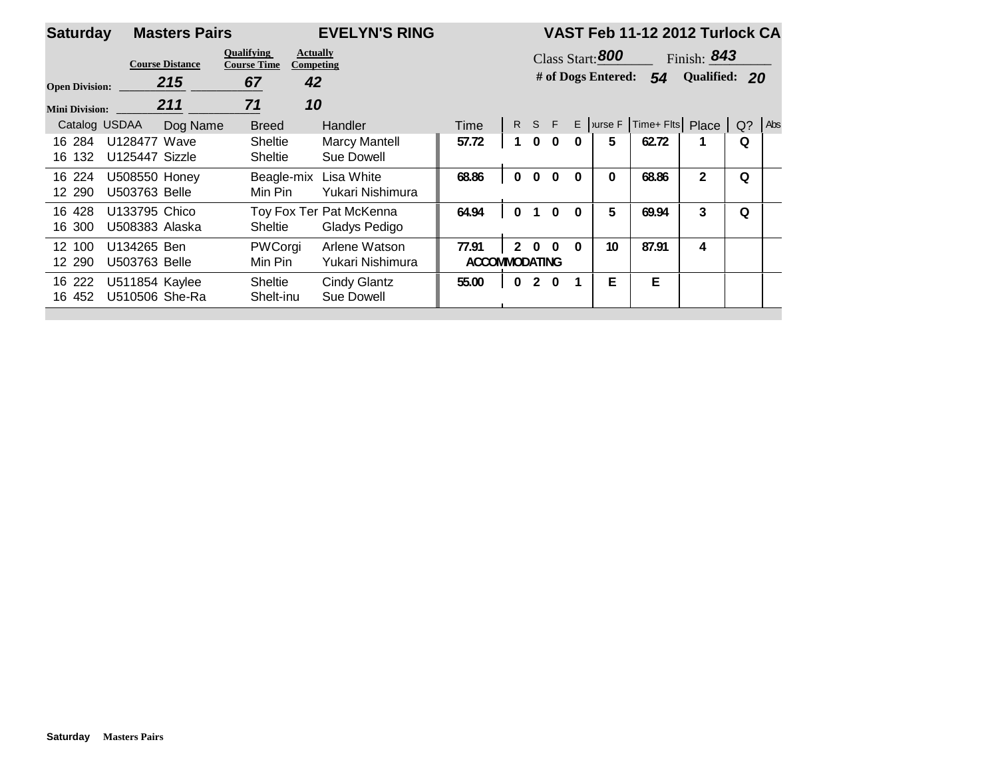| <b>Saturday</b>       |                                       | <b>Masters Pairs</b>          |                                                     | <b>EVELYN'S RING</b>                     |                               |                |              |                         |              |                                        | VAST Feb 11-12 2012 Turlock CA |                                          |          |     |
|-----------------------|---------------------------------------|-------------------------------|-----------------------------------------------------|------------------------------------------|-------------------------------|----------------|--------------|-------------------------|--------------|----------------------------------------|--------------------------------|------------------------------------------|----------|-----|
| <b>Open Division:</b> |                                       | <b>Course Distance</b><br>215 | <b>Oualifying</b><br><b>Course Time</b><br>67<br>42 | <b>Actually</b><br>Competing             |                               |                |              |                         |              | Class Start: 800<br># of Dogs Entered: |                                | Finish: $843$<br><b>54</b> Qualified: 20 |          |     |
| <b>Mini Division:</b> |                                       | 211                           | 71                                                  | 10                                       |                               |                |              |                         |              |                                        |                                |                                          |          |     |
| Catalog USDAA         |                                       | Dog Name                      | <b>Breed</b>                                        | <b>Handler</b>                           | Time                          |                | R S F        |                         |              | $E$ wrse $F$                           | Time+ Flts                     | Place                                    | $Q$ ?    | Abs |
| 16 284<br>16 132      | U128477 Wave<br>U125447 Sizzle        |                               | <b>Sheltie</b><br><b>Sheltie</b>                    | <b>Marcy Mantell</b><br>Sue Dowell       | 57.72                         |                | $\mathbf{0}$ | $\overline{\mathbf{0}}$ | $\mathbf{0}$ | 5                                      | 62.72                          |                                          | 0        |     |
| 16 224<br>12 290      | <b>U508550 Honey</b><br>U503763 Belle |                               | Beagle-mix<br>Min Pin                               | Lisa White<br>Yukari Nishimura           | 68.86                         | $\bf{0}$       | $\mathbf{0}$ | $\mathbf{0}$            | $\mathbf{0}$ | $\mathbf{0}$                           | 68.86                          | $\mathcal{P}$                            | 0        |     |
| 16 428<br>16 300      | U133795 Chico<br>U508383 Alaska       |                               | <b>Sheltie</b>                                      | Toy Fox Ter Pat McKenna<br>Gladys Pedigo | 64.94                         | $\mathbf{0}$   | $\mathbf{1}$ | $\mathbf{0}$            | $\mathbf{0}$ | 5                                      | 69.94                          | 3                                        | $\Omega$ |     |
| 12 100<br>12 290      | U134265 Ben<br>U503763 Belle          |                               | PWCorgi<br>Min Pin                                  | Arlene Watson<br>Yukari Nishimura        | 77.91<br><b>ACCOMMODATING</b> | $\mathfrak{p}$ | $\mathbf{0}$ | $\Omega$                | $\mathbf{0}$ | 10                                     | 87.91                          | 4                                        |          |     |
| 16 222<br>16 452      | U511854 Kaylee                        | U510506 She-Ra                | <b>Sheltie</b><br>Shelt-inu                         | <b>Cindy Glantz</b><br>Sue Dowell        | 55.00                         | $\mathbf{0}$   |              | $2 \quad 0$             |              | E.                                     | E                              |                                          |          |     |
|                       |                                       |                               |                                                     |                                          |                               |                |              |                         |              |                                        |                                |                                          |          |     |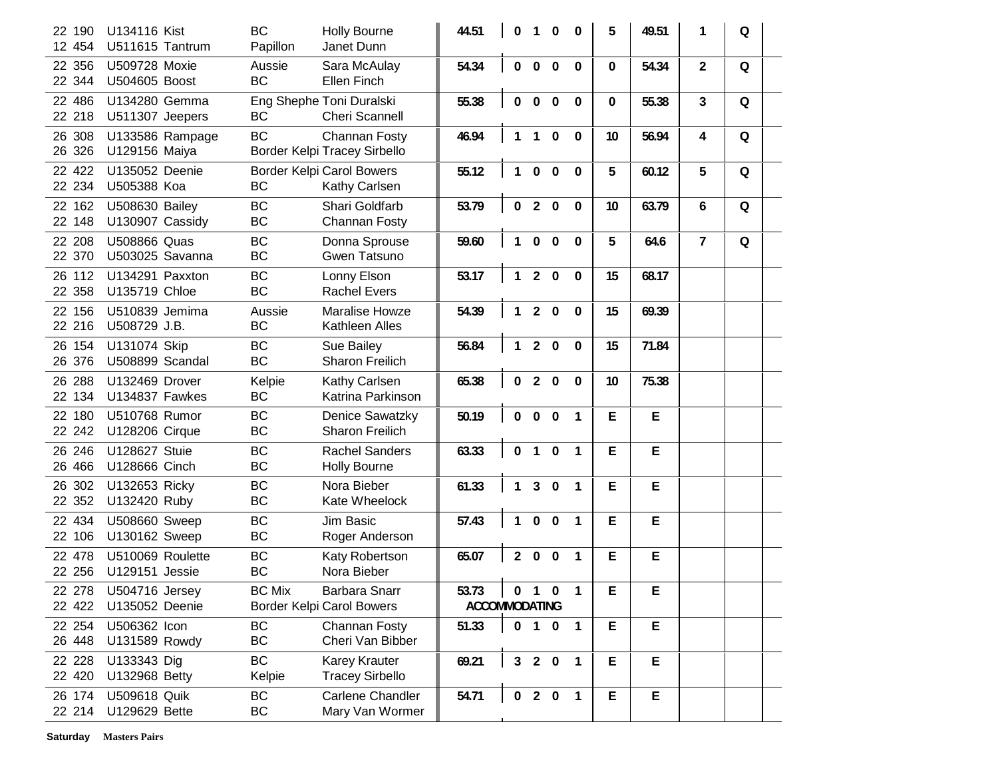| 190<br>22<br>12 454 | U134116 Kist<br>U511615 Tantrum          | <b>BC</b><br>Papillon  | <b>Holly Bourne</b><br>Janet Dunn                 | 44.51                                 | $\Omega$       | $\mathbf{1}$      | $\mathbf{0}$            | $\Omega$       | 5                                          | 49.51 | 1              | Q        |  |
|---------------------|------------------------------------------|------------------------|---------------------------------------------------|---------------------------------------|----------------|-------------------|-------------------------|----------------|--------------------------------------------|-------|----------------|----------|--|
| 356<br>22<br>22 344 | <b>U509728 Moxie</b><br>U504605 Boost    | Aussie<br><b>BC</b>    | Sara McAulay<br><b>Ellen Finch</b>                | 54.34                                 | $\Omega$       | $\mathbf{0}$      | $\Omega$                | 0              | $\Omega$                                   | 54.34 | $\overline{2}$ | $\Omega$ |  |
| 22 486<br>22 218    | U134280 Gemma<br>U511307 Jeepers         | <b>BC</b>              | Eng Shephe Toni Duralski<br><b>Cheri Scannell</b> | 55.38                                 | $\mathbf{0}$   | $\mathbf 0$       | $\mathbf 0$             | $\bf{0}$       | $\bf{0}$                                   | 55.38 | $\mathbf{3}$   | Q        |  |
| 26 308<br>26 326    | U133586 Rampage<br>U129156 Maiya         | <b>BC</b>              | Channan Fosty<br>Border Kelpi Tracey Sirbello     | 46.94                                 | 1              | $\mathbf{1}$      | $\mathbf{0}$            | 0              | 10                                         | 56.94 | 4              | Q        |  |
| 22 422<br>22 234    | U135052 Deenie<br>U505388 Koa            | <b>BC</b>              | <b>Border Kelpi Carol Bowers</b><br>Kathy Carlsen | 55.12                                 | $\mathbf{1}$   | $\mathbf{0}$      | $\Omega$                | 0              | 5                                          | 60.12 | 5              | Q        |  |
| 22 162<br>22 148    | <b>U508630 Bailey</b><br>U130907 Cassidy | <b>BC</b><br><b>BC</b> | Shari Goldfarb<br>Channan Fosty                   | 53.79                                 | $\Omega$       | $\overline{2}$    | $\overline{\mathbf{0}}$ | $\bf{0}$       | 10                                         | 63.79 | 6              | Q        |  |
| 22 208<br>22 370    | <b>U508866 Quas</b><br>U503025 Savanna   | <b>BC</b><br><b>BC</b> | Donna Sprouse<br>Gwen Tatsuno                     | 59.60                                 | $\mathbf{1}$   | $\mathbf 0$       | $\Omega$                | 0              | 5                                          | 64.6  | $\overline{7}$ | $\Omega$ |  |
| 26 112<br>22 358    | U134291 Paxxton<br>U135719 Chloe         | <b>BC</b><br><b>BC</b> | Lonny Elson<br><b>Rachel Evers</b>                | 53.17                                 | $\mathbf{1}$   | $\overline{2}$    | $\overline{0}$          | $\mathbf{0}$   | 15                                         | 68.17 |                |          |  |
| 22 156<br>22 216    | U510839 Jemima<br>U508729 J.B.           | Aussie<br><b>BC</b>    | <b>Maralise Howze</b><br><b>Kathleen Alles</b>    | 54.39                                 | $\mathbf{1}$   | $\overline{2}$    | $\overline{0}$          | $\mathbf{0}$   | 15                                         | 69.39 |                |          |  |
| 154<br>26<br>26 376 | U131074 Skip<br>U508899 Scandal          | <b>BC</b><br><b>BC</b> | Sue Bailey<br>Sharon Freilich                     | 56.84                                 | $\mathbf{1}$   | $\overline{2}$    | $\mathbf{0}$            | $\mathbf{0}$   | 15                                         | 71.84 |                |          |  |
| 26 288<br>22 134    | U132469 Drover<br>U134837 Fawkes         | Kelpie<br><b>BC</b>    | Kathy Carlsen<br>Katrina Parkinson                | 65.38                                 | $\Omega$       | $\overline{2}$    | $\Omega$                | $\mathbf{0}$   | 10                                         | 75.38 |                |          |  |
| 180<br>22<br>22 242 | U510768 Rumor<br><b>U128206 Cirque</b>   | <b>BC</b><br><b>BC</b> | Denice Sawatzky<br><b>Sharon Freilich</b>         | 50.19                                 | $\mathbf{0}$   | $\mathbf{0}$      | $\overline{\mathbf{0}}$ | $\mathbf{1}$   | E                                          | E     |                |          |  |
| 26 246<br>26 466    | U128627 Stuie<br>U128666 Cinch           | <b>BC</b><br><b>BC</b> | <b>Rachel Sanders</b><br><b>Holly Bourne</b>      | 63.33                                 | $\Omega$       | $\mathbf{1}$      | $\mathbf{0}$            | $\mathbf{1}$   | E                                          | E     |                |          |  |
| 26 302<br>22 352    | U132653 Ricky<br>U132420 Ruby            | <b>BC</b><br><b>BC</b> | Nora Bieber<br>Kate Wheelock                      | 61.33                                 | $\mathbf{1}$   | $\overline{3}$    | $\Omega$                | $\mathbf{1}$   | E                                          | E     |                |          |  |
| 22 434<br>22 106    | <b>U508660 Sweep</b><br>U130162 Sweep    | <b>BC</b><br><b>BC</b> | Jim Basic<br>Roger Anderson                       | 57.43                                 | $\mathbf{1}$   | $\mathbf 0$       | $\overline{\mathbf{0}}$ | $\mathbf{1}$   | E                                          | E     |                |          |  |
| 22 478<br>22 256    | U510069 Roulette<br>U129151 Jessie       | <b>BC</b><br><b>BC</b> | Katy Robertson<br>Nora Bieber                     | 65.07                                 | $\overline{2}$ | $\mathbf{0}$      | $\bf{0}$                | $\mathbf{1}$   | E                                          | E     |                |          |  |
| 22 278<br>22 422    | U504716 Jersey<br>U135052 Deenie         | <b>BC Mix</b>          | Barbara Snarr<br><b>Border Kelpi Carol Bowers</b> | $53.73$ 0 1 0<br><b>ACCOMMODATING</b> |                |                   |                         | $\overline{1}$ | $\mathsf{E}% _{0}\left( \mathsf{E}\right)$ | F,    |                |          |  |
| 22 254<br>26 448    | U506362 Icon<br>U131589 Rowdy            | <b>BC</b><br><b>BC</b> | Channan Fosty<br>Cheri Van Bibber                 | 51.33                                 | $\bf{0}$       | $1\quad 0$        |                         | $\mathbf{1}$   | E.                                         | E     |                |          |  |
| 22 228<br>22 420    | U133343 Dig<br>U132968 Betty             | <b>BC</b><br>Kelpie    | <b>Karey Krauter</b><br><b>Tracey Sirbello</b>    | 69.21                                 |                | $3\quad 2\quad 0$ |                         | $\overline{1}$ | E                                          | E     |                |          |  |
| 26 174<br>22 214    | U509618 Quik<br>U129629 Bette            | <b>BC</b><br>ВC        | Carlene Chandler<br>Mary Van Wormer               | 54.71                                 | $\bf{0}$       | $2\quad 0$        |                         | $\mathbf{1}$   | E                                          | E     |                |          |  |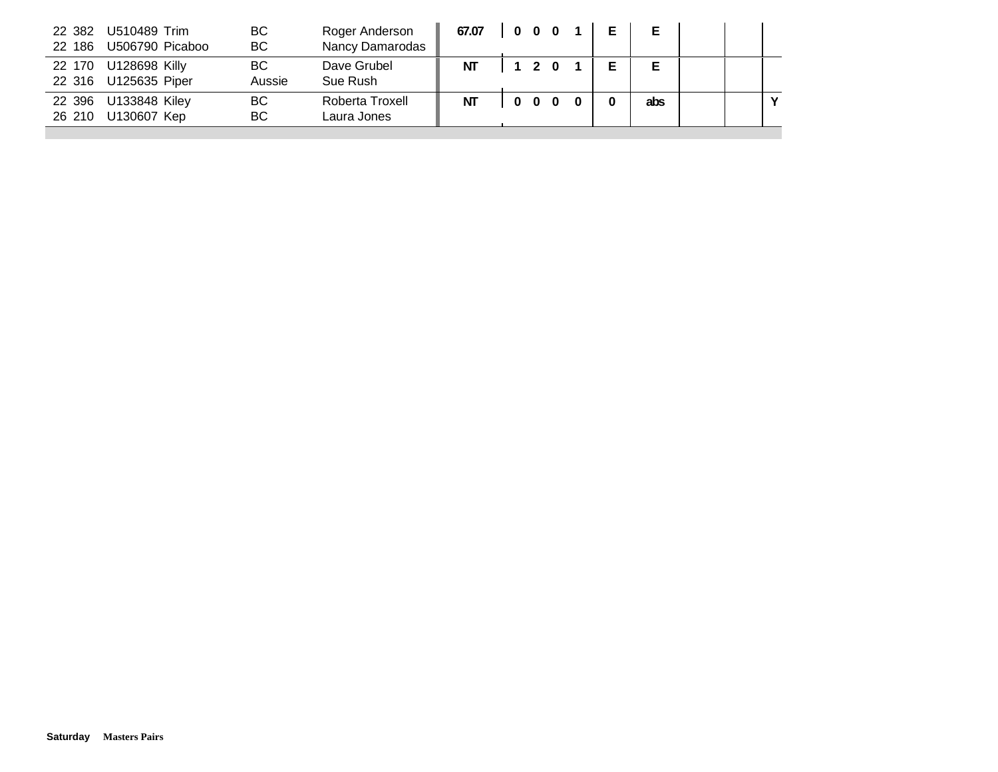| 22 382<br>22 186 | U510489 Trim<br>U506790 Picaboo | BC<br>BС        | Roger Anderson<br>Nancy Damarodas | 67.07 | 000 |                     |  | F.  |  |  |
|------------------|---------------------------------|-----------------|-----------------------------------|-------|-----|---------------------|--|-----|--|--|
| 22 170<br>22 316 | U128698 Killy<br>U125635 Piper  | BC<br>Aussie    | Dave Grubel<br>Sue Rush           | NT    |     | $1 \quad 2 \quad 0$ |  |     |  |  |
| 22 396<br>26 210 | U133848 Kiley<br>U130607 Kep    | BС<br><b>BC</b> | Roberta Troxell<br>Laura Jones    | ΝT    |     | $0\quad 0\quad 0$   |  | abs |  |  |